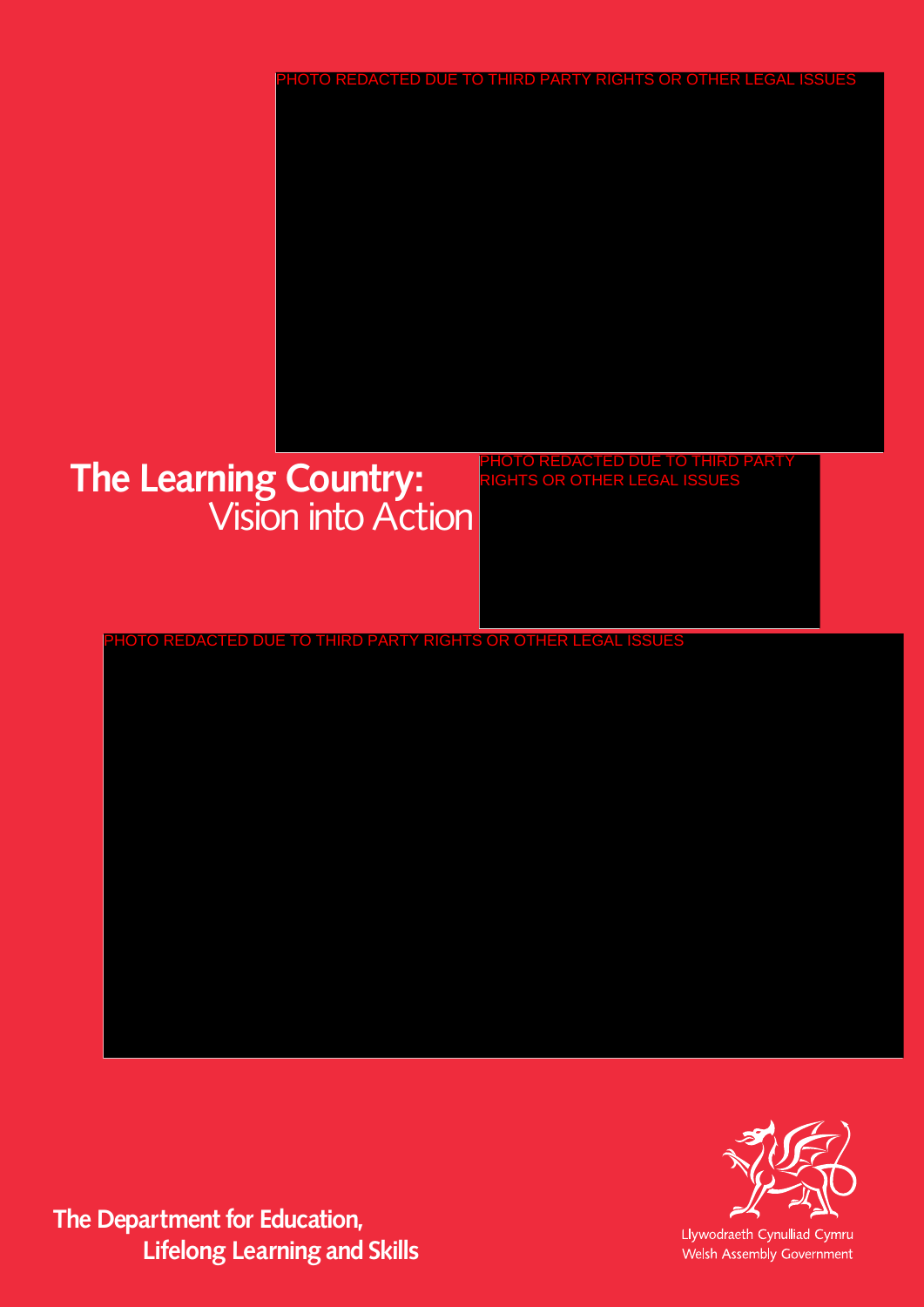# **The Learning Country:** Vision into Action

PHOTO REDACTED DUE TO THIRD PARTY RIGHTS OR OTHER LEGAL ISSUES

PHOTO REDACTED DUE TO THIRD PARTY RIGHTS OR OTHER LEGAL ISSUES

**The Department for Education, Lifelong Learning and Skills**



Llywodraeth Cynulliad Cymru Welsh Assembly Government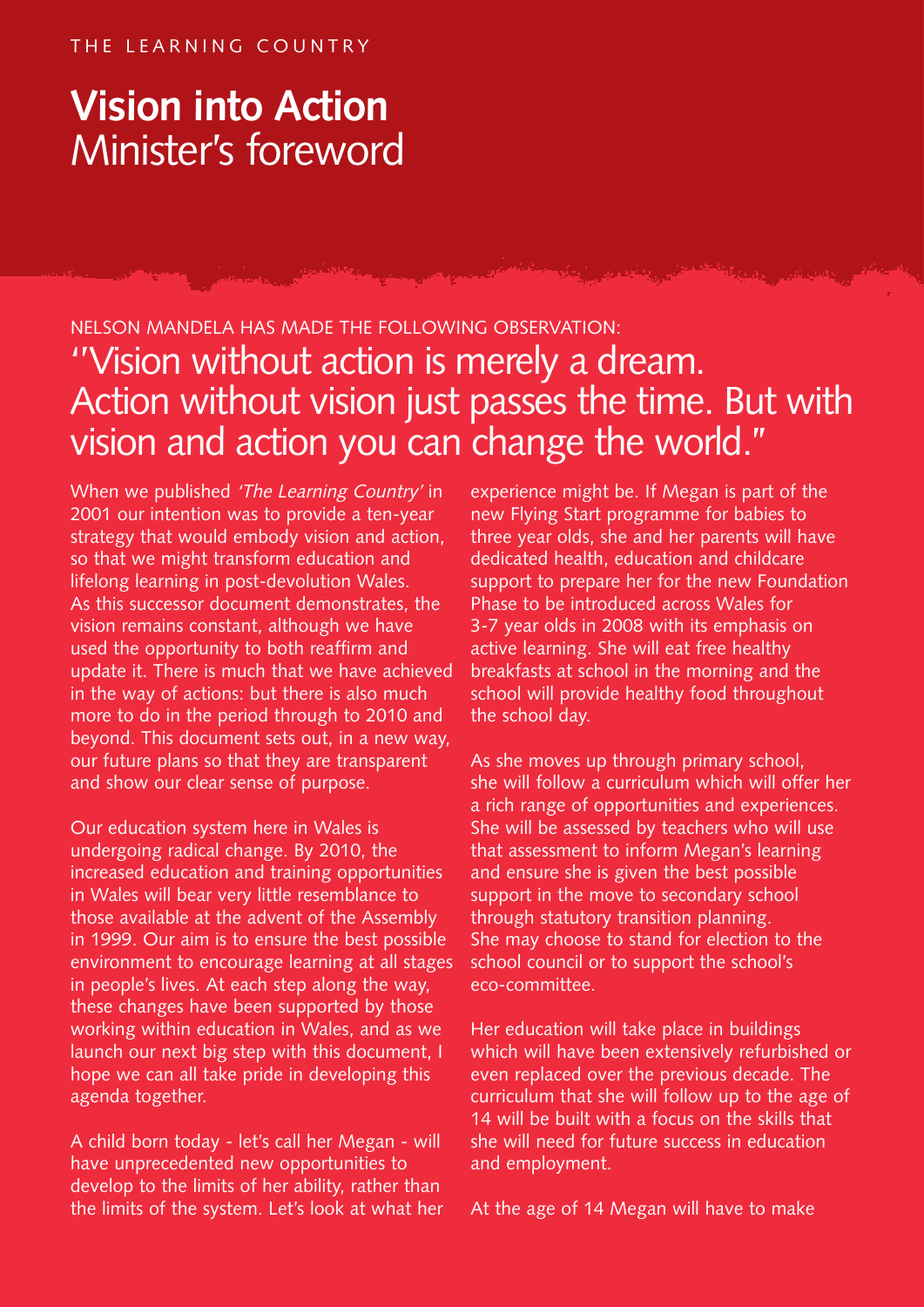# **Vision into Action**  Minister's foreword

# NELSON MANDELA HAS MADE THE FOLLOWING OBSERVATION: ''Vision without action is merely a dream. Action without vision just passes the time. But with vision and action you can change the world.''

When we published 'The Learning Country' in 2001 our intention was to provide a ten-year strategy that would embody vision and action, so that we might transform education and lifelong learning in post-devolution Wales. As this successor document demonstrates, the vision remains constant, although we have used the opportunity to both reaffirm and update it. There is much that we have achieved in the way of actions: but there is also much more to do in the period through to 2010 and beyond. This document sets out, in a new way, our future plans so that they are transparent and show our clear sense of purpose.

Our education system here in Wales is undergoing radical change. By 2010, the increased education and training opportunities in Wales will bear very little resemblance to those available at the advent of the Assembly in 1999. Our aim is to ensure the best possible environment to encourage learning at all stages in people's lives. At each step along the way, these changes have been supported by those working within education in Wales, and as we launch our next big step with this document, I hope we can all take pride in developing this agenda together.

A child born today - let's call her Megan - will have unprecedented new opportunities to develop to the limits of her ability, rather than the limits of the system. Let's look at what her

experience might be. If Megan is part of the new Flying Start programme for babies to three year olds, she and her parents will have dedicated health, education and childcare support to prepare her for the new Foundation Phase to be introduced across Wales for 3-7 year olds in 2008 with its emphasis on active learning. She will eat free healthy breakfasts at school in the morning and the school will provide healthy food throughout the school day.

As she moves up through primary school, she will follow a curriculum which will offer her a rich range of opportunities and experiences. She will be assessed by teachers who will use that assessment to inform Megan's learning and ensure she is given the best possible support in the move to secondary school through statutory transition planning. She may choose to stand for election to the school council or to support the school's eco-committee.

Her education will take place in buildings which will have been extensively refurbished or even replaced over the previous decade. The curriculum that she will follow up to the age of 14 will be built with a focus on the skills that she will need for future success in education and employment.

At the age of 14 Megan will have to make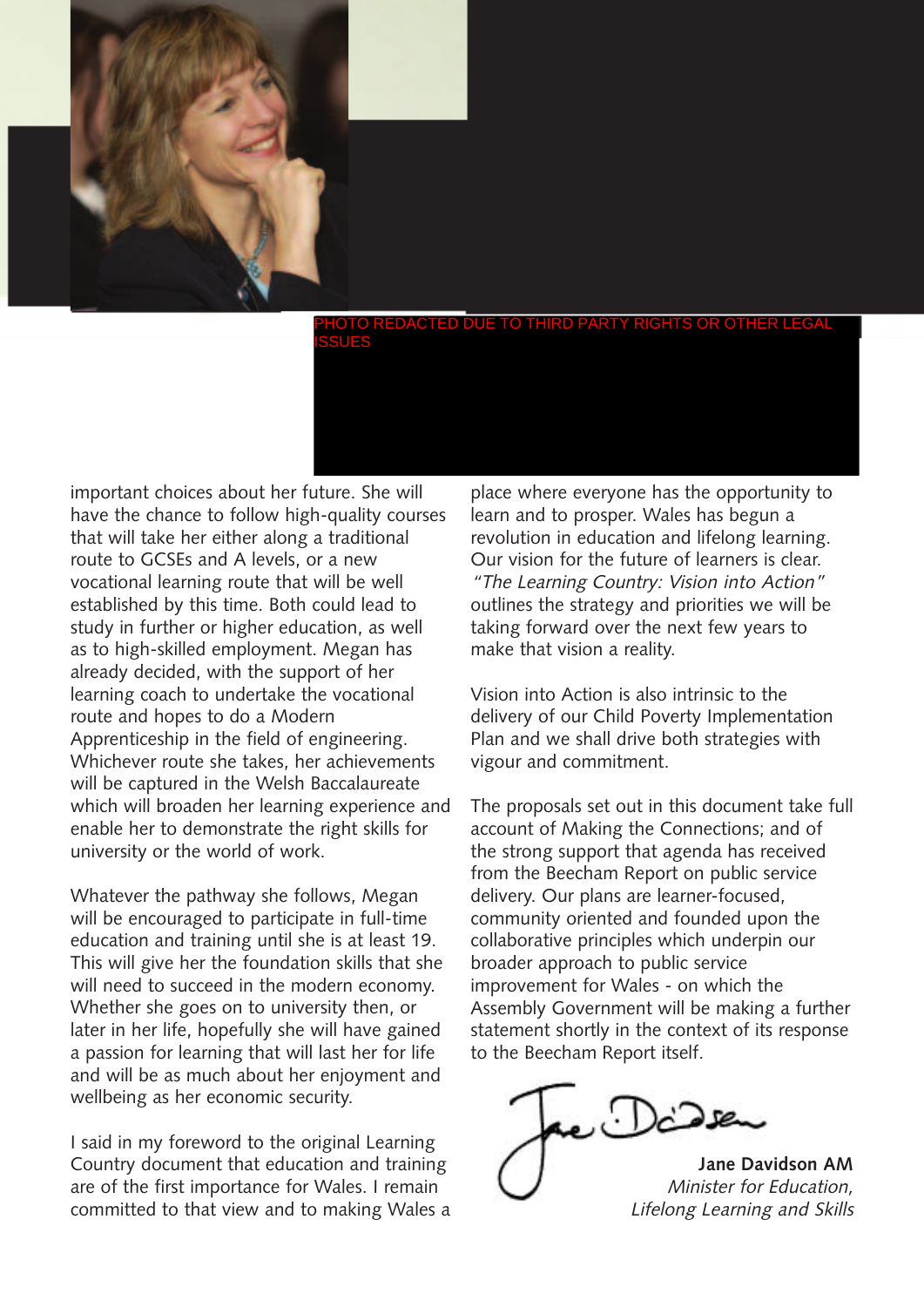

important choices about her future. She will have the chance to follow high-quality courses that will take her either along a traditional route to GCSEs and A levels, or a new vocational learning route that will be well established by this time. Both could lead to study in further or higher education, as well as to high-skilled employment. Megan has already decided, with the support of her learning coach to undertake the vocational route and hopes to do a Modern Apprenticeship in the field of engineering. Whichever route she takes, her achievements will be captured in the Welsh Baccalaureate which will broaden her learning experience and enable her to demonstrate the right skills for university or the world of work.

Whatever the pathway she follows, Megan will be encouraged to participate in full-time education and training until she is at least 19. This will give her the foundation skills that she will need to succeed in the modern economy. Whether she goes on to university then, or later in her life, hopefully she will have gained a passion for learning that will last her for life and will be as much about her enjoyment and wellbeing as her economic security.

I said in my foreword to the original Learning Country document that education and training are of the first importance for Wales. I remain committed to that view and to making Wales a

place where everyone has the opportunity to learn and to prosper. Wales has begun a revolution in education and lifelong learning. Our vision for the future of learners is clear. "The Learning Country: Vision into Action" outlines the strategy and priorities we will be taking forward over the next few years to make that vision a reality.

Vision into Action is also intrinsic to the delivery of our Child Poverty Implementation Plan and we shall drive both strategies with vigour and commitment.

The proposals set out in this document take full account of Making the Connections; and of the strong support that agenda has received from the Beecham Report on public service delivery. Our plans are learner-focused, community oriented and founded upon the collaborative principles which underpin our broader approach to public service improvement for Wales - on which the Assembly Government will be making a further statement shortly in the context of its response to the Beecham Report itself.

 $\Box$ 

**Jane Davidson AM** Minister for Education, Lifelong Learning and Skills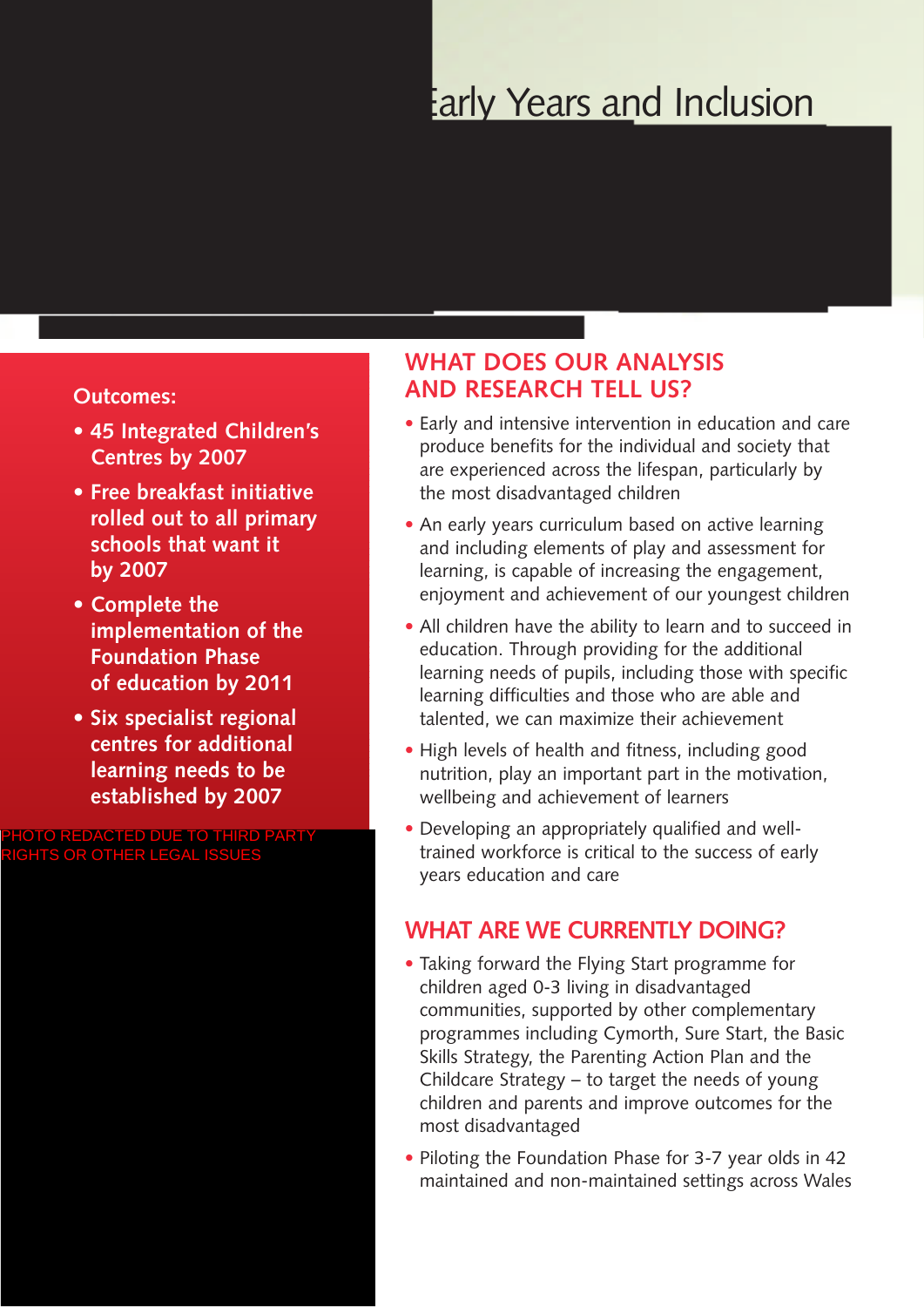# **Early Years and Inclusion**

#### **Outcomes:**

- **• 45 Integrated Children's Centres by 2007**
- **• Free breakfast initiative rolled out to all primary schools that want it by 2007**
- **• Complete the implementation of the Foundation Phase of education by 2011**
- **• Six specialist regional centres for additional learning needs to be established by 2007**

**PHOTO DUE TO THIRD PARTY** RIGHTS OR OTHER LEGAL ISSUES

# **WHAT DOES OUR ANALYSIS AND RESEARCH TELL US?**

- Early and intensive intervention in education and care produce benefits for the individual and society that are experienced across the lifespan, particularly by the most disadvantaged children
- An early years curriculum based on active learning and including elements of play and assessment for learning, is capable of increasing the engagement, enjoyment and achievement of our youngest children
- All children have the ability to learn and to succeed in education. Through providing for the additional learning needs of pupils, including those with specific learning difficulties and those who are able and talented, we can maximize their achievement
- High levels of health and fitness, including good nutrition, play an important part in the motivation, wellbeing and achievement of learners
- Developing an appropriately qualified and welltrained workforce is critical to the success of early years education and care

## **WHAT ARE WE CURRENTLY DOING?**

- Taking forward the Flying Start programme for children aged 0-3 living in disadvantaged communities, supported by other complementary programmes including Cymorth, Sure Start, the Basic Skills Strategy, the Parenting Action Plan and the Childcare Strategy – to target the needs of young children and parents and improve outcomes for the most disadvantaged
- Piloting the Foundation Phase for 3-7 year olds in 42 maintained and non-maintained settings across Wales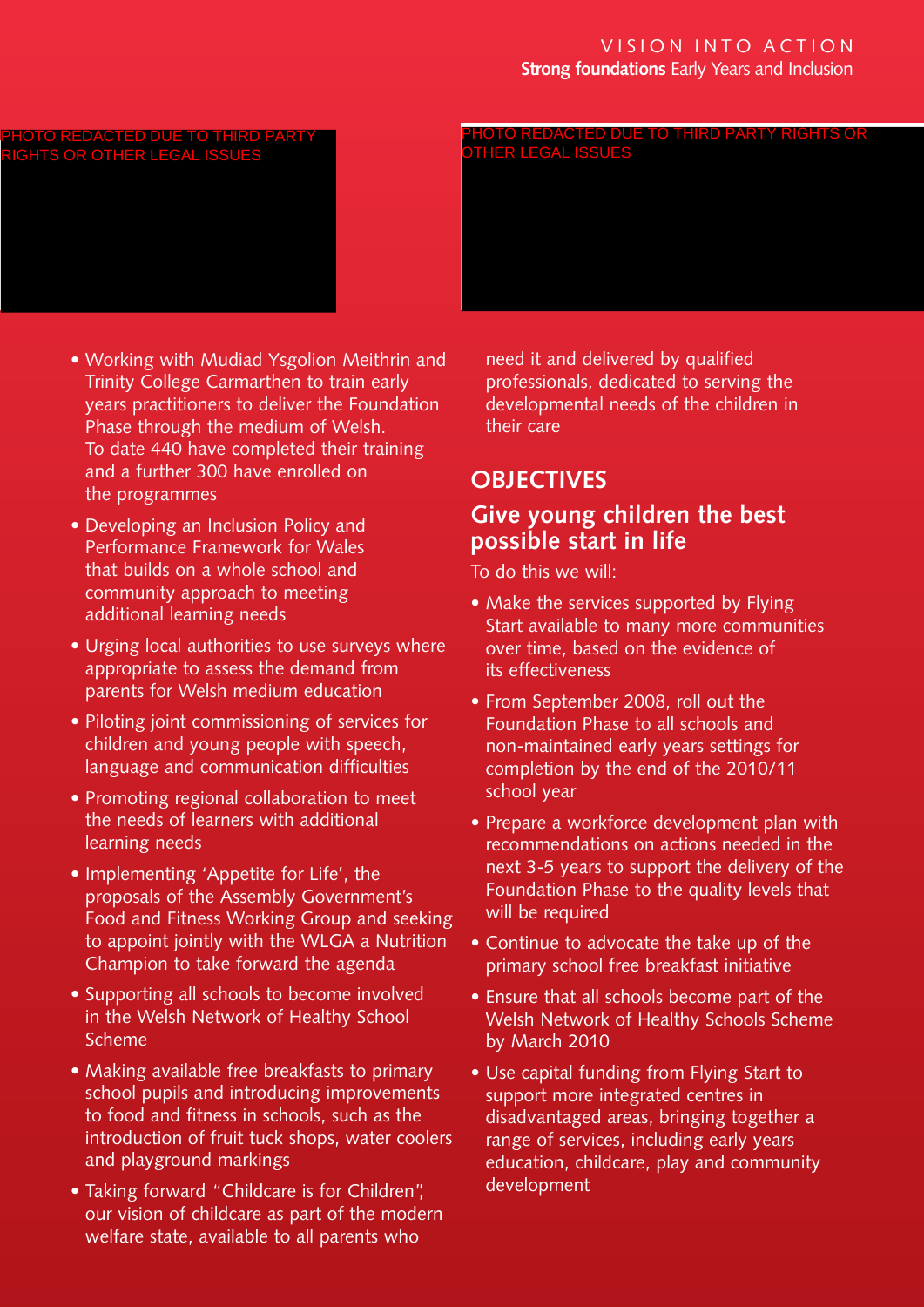#### VISION INTO ACTION **Strong foundations** Early Years and Inclusion

#### PHOTO REDACTED DUE TO THIRD I RIGHTS OR OTHER LEGAL ISSUES

PHOTO REDACTED DUE TO THIRD PARTY RIGHTS OR OTHER LEGAL ISSUES

- Working with Mudiad Ysgolion Meithrin and Trinity College Carmarthen to train early years practitioners to deliver the Foundation Phase through the medium of Welsh. To date 440 have completed their training and a further 300 have enrolled on the programmes
- Developing an Inclusion Policy and Performance Framework for Wales that builds on a whole school and community approach to meeting additional learning needs
- Urging local authorities to use surveys where appropriate to assess the demand from parents for Welsh medium education
- Piloting joint commissioning of services for children and young people with speech, language and communication difficulties
- Promoting regional collaboration to meet the needs of learners with additional learning needs
- Implementing 'Appetite for Life', the proposals of the Assembly Government's Food and Fitness Working Group and seeking to appoint jointly with the WLGA a Nutrition Champion to take forward the agenda
- Supporting all schools to become involved in the Welsh Network of Healthy School Scheme
- Making available free breakfasts to primary school pupils and introducing improvements to food and fitness in schools, such as the introduction of fruit tuck shops, water coolers and playground markings
- Taking forward "Childcare is for Children", our vision of childcare as part of the modern welfare state, available to all parents who

need it and delivered by qualified professionals, dedicated to serving the developmental needs of the children in their care

# **OBJECTIVES**

## **Give young children the best possible start in life**

- Make the services supported by Flying Start available to many more communities over time, based on the evidence of its effectiveness
- From September 2008, roll out the Foundation Phase to all schools and non-maintained early years settings for completion by the end of the 2010/11 school year
- Prepare a workforce development plan with recommendations on actions needed in the next 3-5 years to support the delivery of the Foundation Phase to the quality levels that will be required
- Continue to advocate the take up of the primary school free breakfast initiative
- Ensure that all schools become part of the Welsh Network of Healthy Schools Scheme by March 2010
- Use capital funding from Flying Start to support more integrated centres in disadvantaged areas, bringing together a range of services, including early years education, childcare, play and community development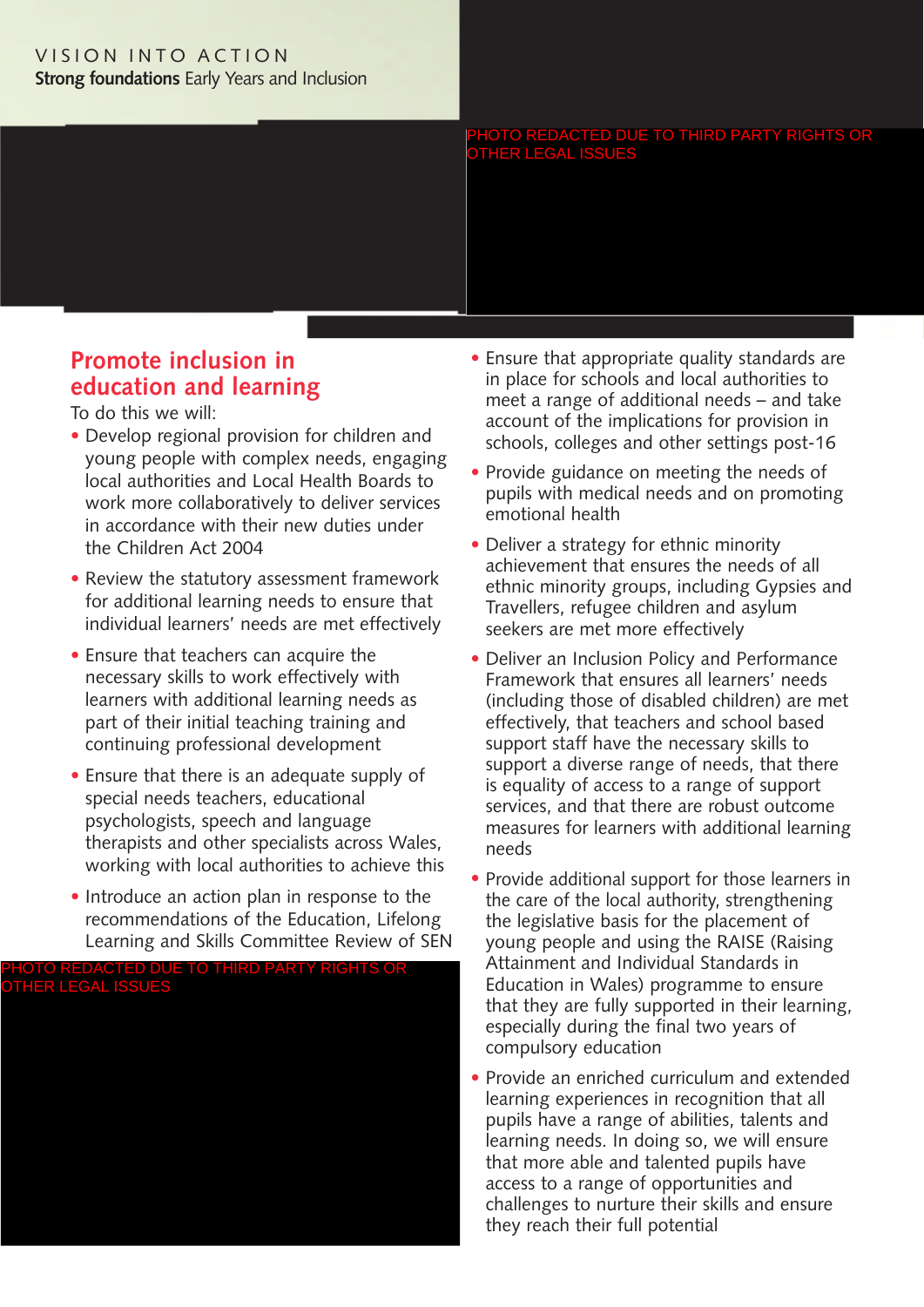#### VISION INTO ACTION **Strong foundations** Early Years and Inclusion

PHOTO REDACTED DUE TO THIRD PARTY RIGHTS OR OTHER LEGAL ISSUES

# **Promote inclusion in education and learning**

- Develop regional provision for children and young people with complex needs, engaging local authorities and Local Health Boards to work more collaboratively to deliver services in accordance with their new duties under the Children Act 2004
- Review the statutory assessment framework for additional learning needs to ensure that individual learners' needs are met effectively
- Ensure that teachers can acquire the necessary skills to work effectively with learners with additional learning needs as part of their initial teaching training and continuing professional development
- Ensure that there is an adequate supply of special needs teachers, educational psychologists, speech and language therapists and other specialists across Wales, working with local authorities to achieve this
- Introduce an action plan in response to the recommendations of the Education, Lifelong Learning and Skills Committee Review of SEN



- Ensure that appropriate quality standards are in place for schools and local authorities to meet a range of additional needs – and take account of the implications for provision in schools, colleges and other settings post-16
- Provide guidance on meeting the needs of pupils with medical needs and on promoting emotional health
- Deliver a strategy for ethnic minority achievement that ensures the needs of all ethnic minority groups, including Gypsies and Travellers, refugee children and asylum seekers are met more effectively
- Deliver an Inclusion Policy and Performance Framework that ensures all learners' needs (including those of disabled children) are met effectively, that teachers and school based support staff have the necessary skills to support a diverse range of needs, that there is equality of access to a range of support services, and that there are robust outcome measures for learners with additional learning needs
- Provide additional support for those learners in the care of the local authority, strengthening the legislative basis for the placement of young people and using the RAISE (Raising Attainment and Individual Standards in Education in Wales) programme to ensure that they are fully supported in their learning, especially during the final two years of compulsory education
- Provide an enriched curriculum and extended learning experiences in recognition that all pupils have a range of abilities, talents and learning needs. In doing so, we will ensure that more able and talented pupils have access to a range of opportunities and challenges to nurture their skills and ensure they reach their full potential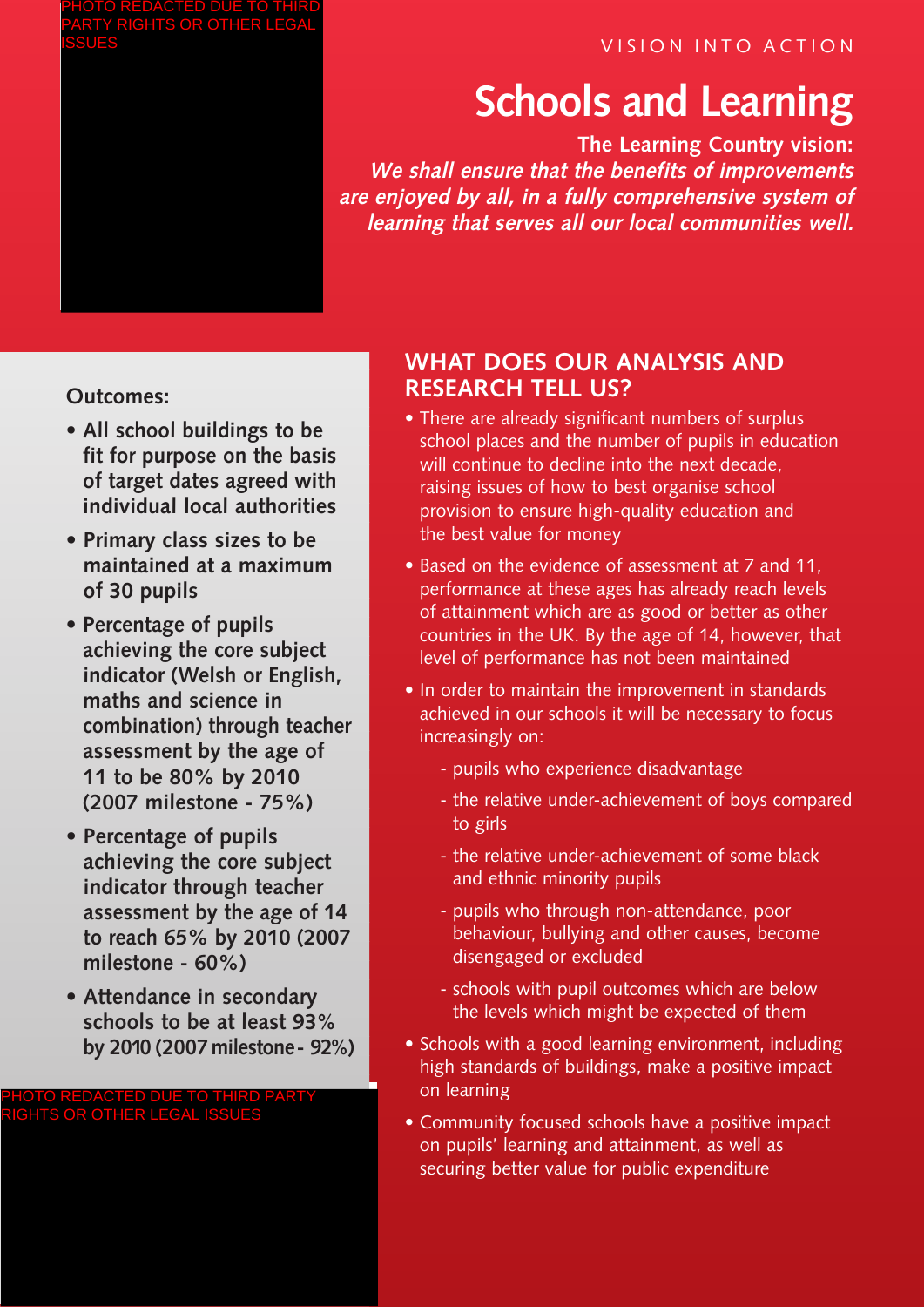## VISION INTO ACTION

# **Schools and Learning**

**The Learning Country vision: We shall ensure that the benefits of improvements are enjoyed by all, in a fully comprehensive system of learning that serves all our local communities well.**

**Outcomes:**

- **• All school buildings to be fit for purpose on the basis of target dates agreed with individual local authorities**
- **• Primary class sizes to be maintained at a maximum of 30 pupils**
- **• Percentage of pupils achieving the core subject indicator (Welsh or English, maths and science in combination) through teacher assessment by the age of 11 to be 80% by 2010 (2007 milestone - 75%)**
- **• Percentage of pupils achieving the core subject indicator through teacher assessment by the age of 14 to reach 65% by 2010 (2007 milestone - 60%)**
- **• Attendance in secondary schools to be at least 93% by 2010 (2007milestone- 92%)**

PHOTO REDACTED DUE TO THIRD PARTY RIGHTS OR OTHER LEGAL ISSUES

# **WHAT DOES OUR ANALYSIS AND RESEARCH TELL US?**

- There are already significant numbers of surplus school places and the number of pupils in education will continue to decline into the next decade, raising issues of how to best organise school provision to ensure high-quality education and the best value for money
- Based on the evidence of assessment at 7 and 11, performance at these ages has already reach levels of attainment which are as good or better as other countries in the UK. By the age of 14, however, that level of performance has not been maintained
- In order to maintain the improvement in standards achieved in our schools it will be necessary to focus increasingly on:
	- pupils who experience disadvantage
	- the relative under-achievement of boys compared to girls
	- the relative under-achievement of some black and ethnic minority pupils
	- pupils who through non-attendance, poor behaviour, bullying and other causes, become disengaged or excluded
	- schools with pupil outcomes which are below the levels which might be expected of them
- Schools with a good learning environment, including high standards of buildings, make a positive impact on learning
- Community focused schools have a positive impact on pupils' learning and attainment, as well as securing better value for public expenditure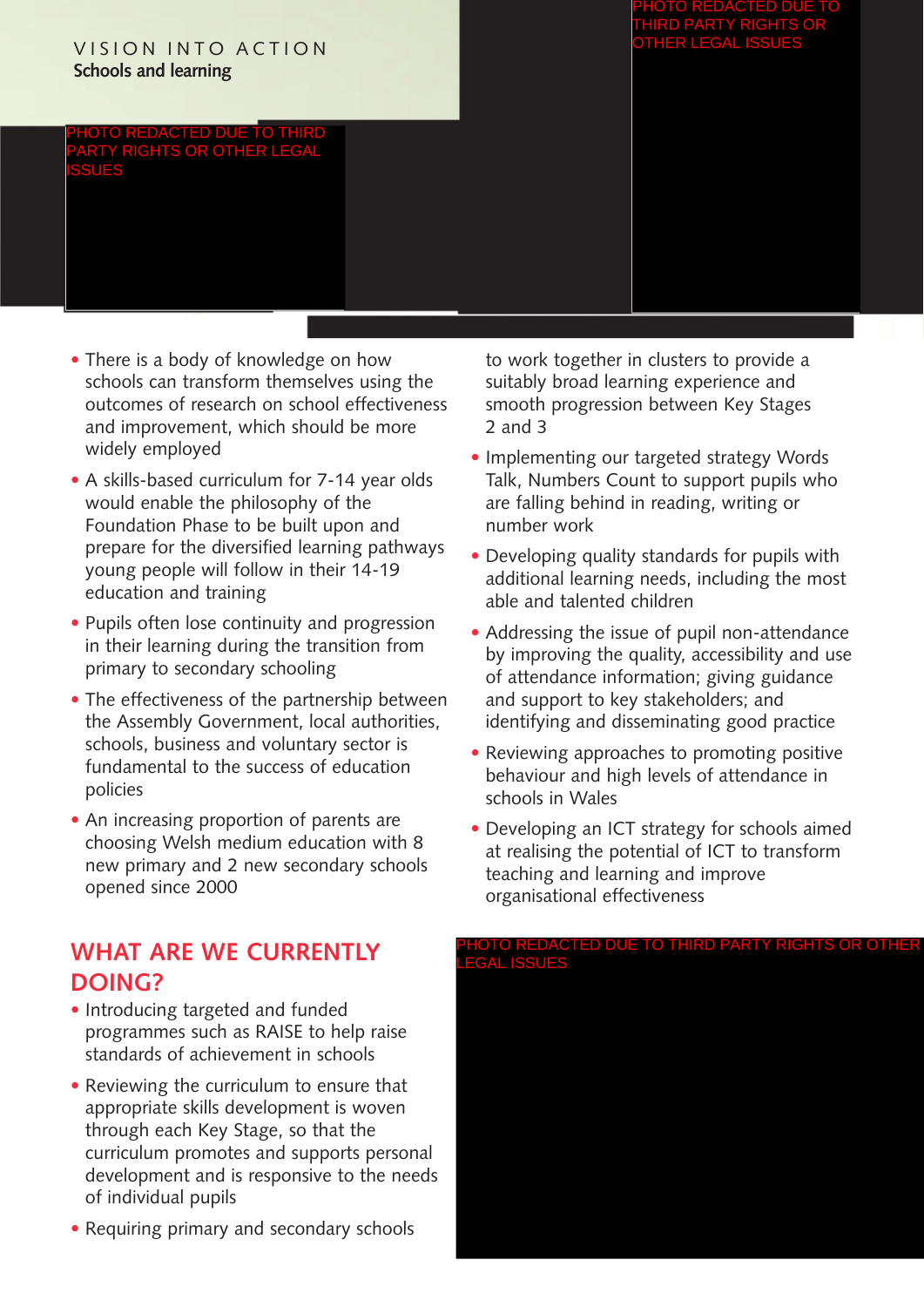#### VISION INTO ACTION **Schools and learning**

REDACTED DU PARTY RIGHTS OR OTHER LEGAL ISSUES

- There is a body of knowledge on how schools can transform themselves using the outcomes of research on school effectiveness and improvement, which should be more widely employed
- A skills-based curriculum for 7-14 year olds would enable the philosophy of the Foundation Phase to be built upon and prepare for the diversified learning pathways young people will follow in their 14-19 education and training
- Pupils often lose continuity and progression in their learning during the transition from primary to secondary schooling
- The effectiveness of the partnership between the Assembly Government, local authorities, schools, business and voluntary sector is fundamental to the success of education policies
- An increasing proportion of parents are choosing Welsh medium education with 8 new primary and 2 new secondary schools opened since 2000

# **WHAT ARE WE CURRENTLY DOING?**

- Introducing targeted and funded programmes such as RAISE to help raise standards of achievement in schools
- Reviewing the curriculum to ensure that appropriate skills development is woven through each Key Stage, so that the curriculum promotes and supports personal development and is responsive to the needs of individual pupils
- Requiring primary and secondary schools

to work together in clusters to provide a suitably broad learning experience and smooth progression between Key Stages 2 and 3

- Implementing our targeted strategy Words Talk, Numbers Count to support pupils who are falling behind in reading, writing or number work
- Developing quality standards for pupils with additional learning needs, including the most able and talented children
- Addressing the issue of pupil non-attendance by improving the quality, accessibility and use of attendance information; giving guidance and support to key stakeholders; and identifying and disseminating good practice
- Reviewing approaches to promoting positive behaviour and high levels of attendance in schools in Wales
- Developing an ICT strategy for schools aimed at realising the potential of ICT to transform teaching and learning and improve organisational effectiveness

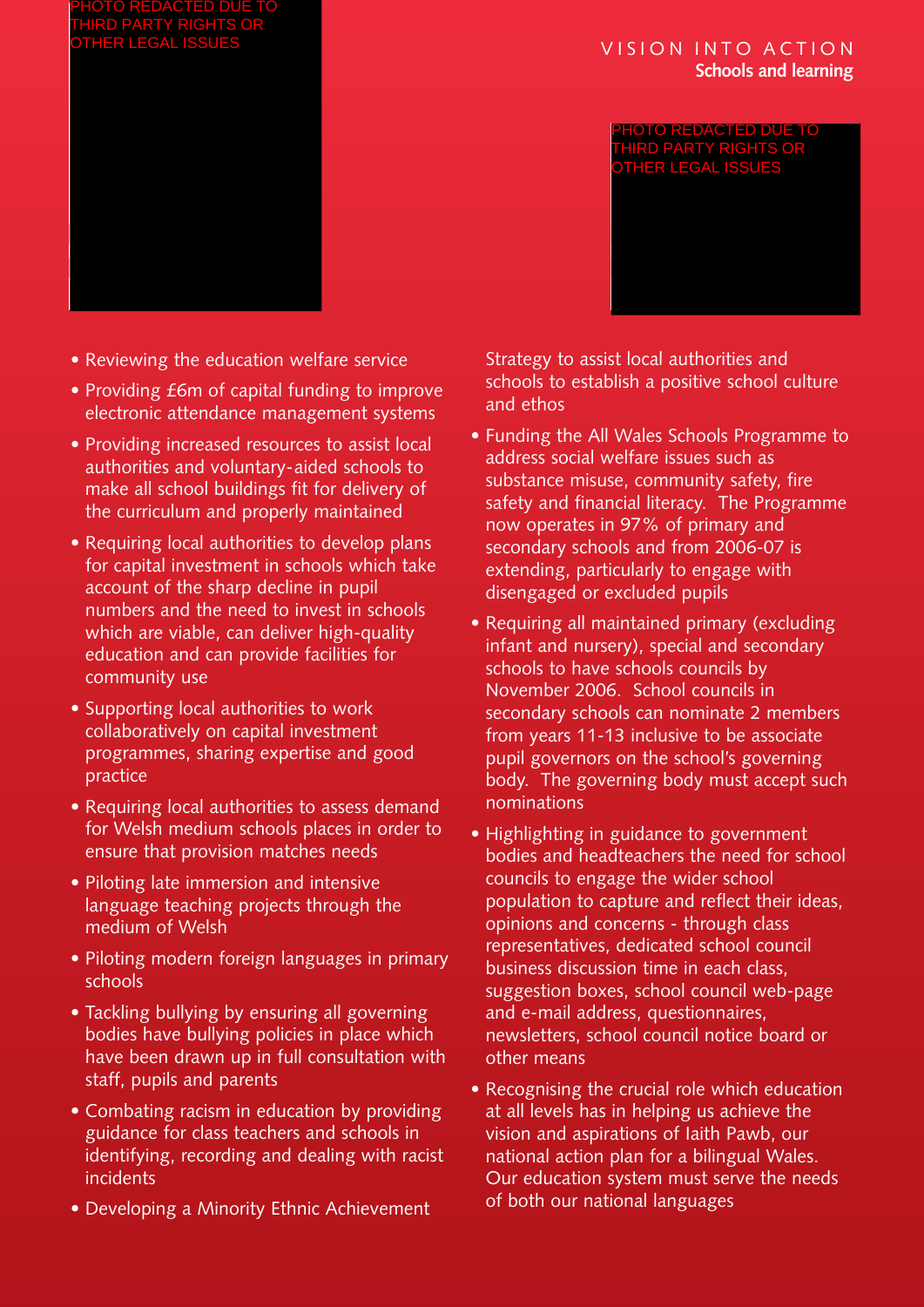#### VISION INTO ACTION **Schools and learning**

OTO REDACTED DUI THIRD PARTY RIGHTS OR OTHER LEGAL ISSUES

- Reviewing the education welfare service
- Providing £6m of capital funding to improve electronic attendance management systems
- Providing increased resources to assist local authorities and voluntary-aided schools to make all school buildings fit for delivery of the curriculum and properly maintained
- Requiring local authorities to develop plans for capital investment in schools which take account of the sharp decline in pupil numbers and the need to invest in schools which are viable, can deliver high-quality education and can provide facilities for community use
- Supporting local authorities to work collaboratively on capital investment programmes, sharing expertise and good practice
- Requiring local authorities to assess demand for Welsh medium schools places in order to ensure that provision matches needs
- Piloting late immersion and intensive language teaching projects through the medium of Welsh
- Piloting modern foreign languages in primary schools
- Tackling bullying by ensuring all governing bodies have bullying policies in place which have been drawn up in full consultation with staff, pupils and parents
- Combating racism in education by providing guidance for class teachers and schools in identifying, recording and dealing with racist incidents
- Developing a Minority Ethnic Achievement

Strategy to assist local authorities and schools to establish a positive school culture and ethos

- Funding the All Wales Schools Programme to address social welfare issues such as substance misuse, community safety, fire safety and financial literacy. The Programme now operates in 97% of primary and secondary schools and from 2006-07 is extending, particularly to engage with disengaged or excluded pupils
- Requiring all maintained primary (excluding infant and nursery), special and secondary schools to have schools councils by November 2006. School councils in secondary schools can nominate 2 members from years 11-13 inclusive to be associate pupil governors on the school's governing body. The governing body must accept such nominations
- Highlighting in guidance to government bodies and headteachers the need for school councils to engage the wider school population to capture and reflect their ideas, opinions and concerns - through class representatives, dedicated school council business discussion time in each class, suggestion boxes, school council web-page and e-mail address, questionnaires, newsletters, school council notice board or other means
- Recognising the crucial role which education at all levels has in helping us achieve the vision and aspirations of Iaith Pawb, our national action plan for a bilingual Wales. Our education system must serve the needs of both our national languages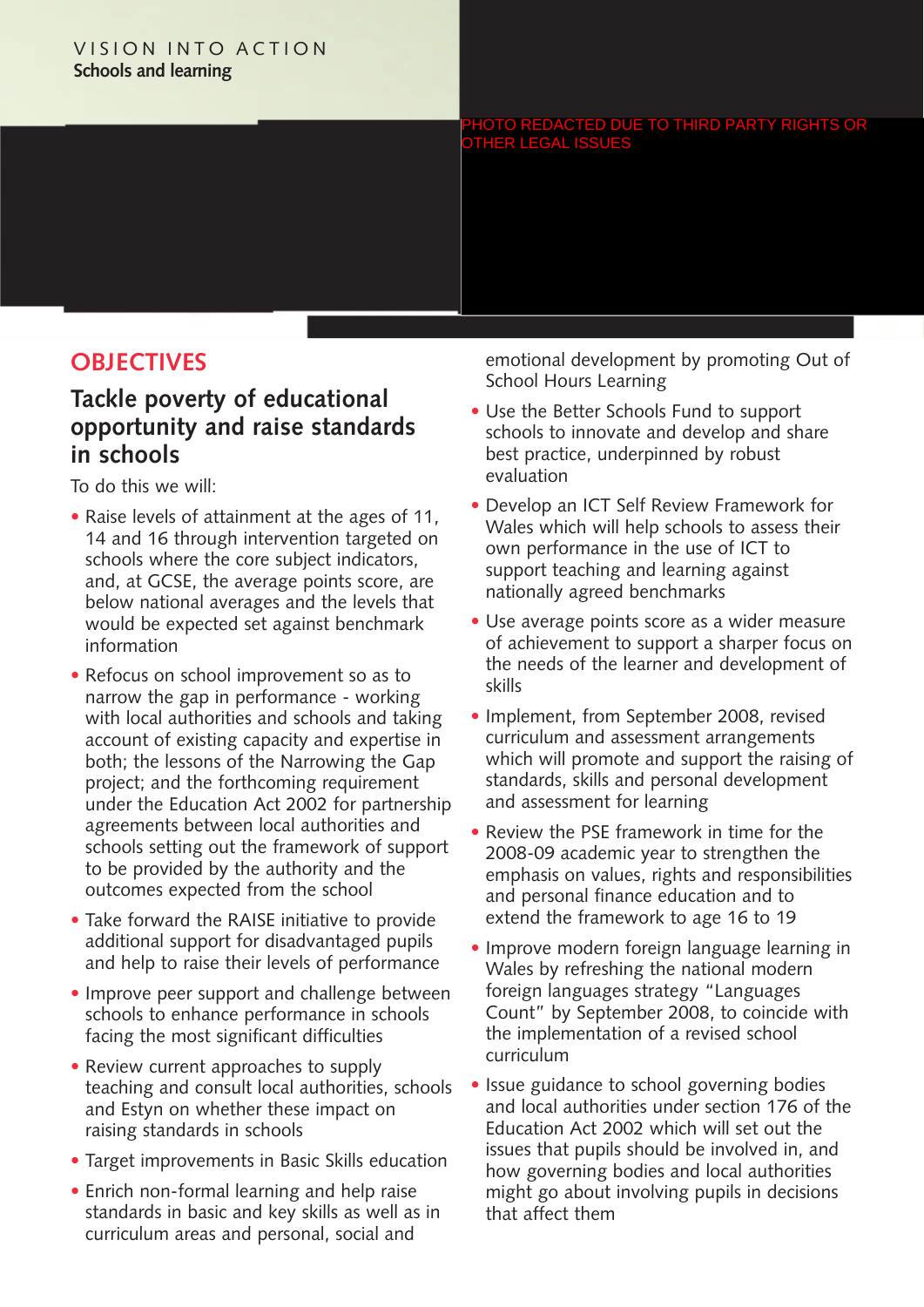#### VISION INTO ACTION **Schools and learning**

PHOTO REDACTED DUE TO THIRD PARTY RIGHTS OR OTHER LEGAL ISSUES

# **OBJECTIVES**

## **Tackle poverty of educational opportunity and raise standards in schools**

To do this we will:

- Raise levels of attainment at the ages of 11, 14 and 16 through intervention targeted on schools where the core subject indicators, and, at GCSE, the average points score, are below national averages and the levels that would be expected set against benchmark information
- Refocus on school improvement so as to narrow the gap in performance - working with local authorities and schools and taking account of existing capacity and expertise in both; the lessons of the Narrowing the Gap project; and the forthcoming requirement under the Education Act 2002 for partnership agreements between local authorities and schools setting out the framework of support to be provided by the authority and the outcomes expected from the school
- Take forward the RAISE initiative to provide additional support for disadvantaged pupils and help to raise their levels of performance
- Improve peer support and challenge between schools to enhance performance in schools facing the most significant difficulties
- Review current approaches to supply teaching and consult local authorities, schools and Estyn on whether these impact on raising standards in schools
- Target improvements in Basic Skills education
- Enrich non-formal learning and help raise standards in basic and key skills as well as in curriculum areas and personal, social and

emotional development by promoting Out of School Hours Learning

- Use the Better Schools Fund to support schools to innovate and develop and share best practice, underpinned by robust evaluation
- Develop an ICT Self Review Framework for Wales which will help schools to assess their own performance in the use of ICT to support teaching and learning against nationally agreed benchmarks
- Use average points score as a wider measure of achievement to support a sharper focus on the needs of the learner and development of skills
- Implement, from September 2008, revised curriculum and assessment arrangements which will promote and support the raising of standards, skills and personal development and assessment for learning
- Review the PSE framework in time for the 2008-09 academic year to strengthen the emphasis on values, rights and responsibilities and personal finance education and to extend the framework to age 16 to 19
- Improve modern foreign language learning in Wales by refreshing the national modern foreign languages strategy "Languages Count" by September 2008, to coincide with the implementation of a revised school curriculum
- Issue guidance to school governing bodies and local authorities under section 176 of the Education Act 2002 which will set out the issues that pupils should be involved in, and how governing bodies and local authorities might go about involving pupils in decisions that affect them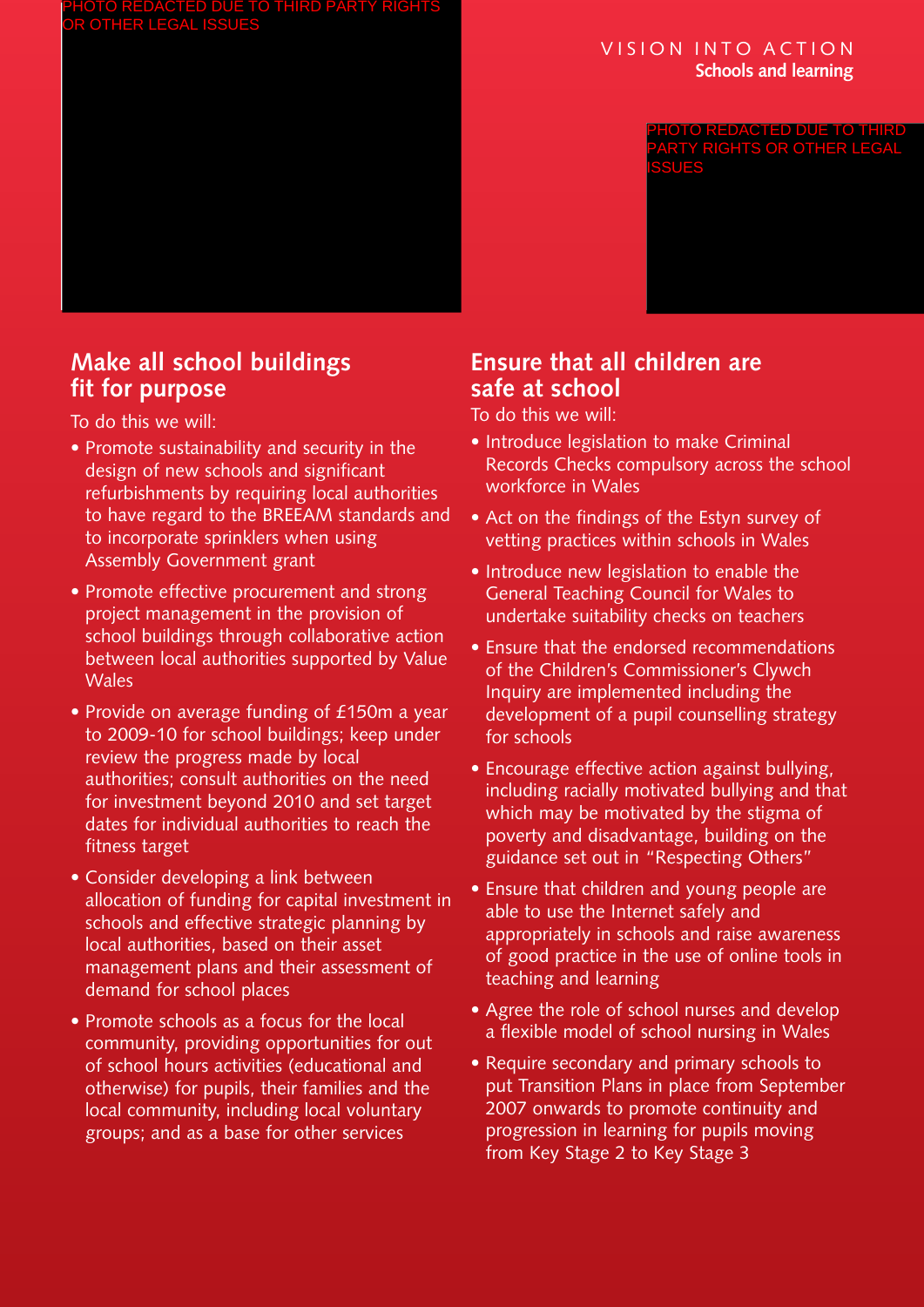#### VISION INTO ACTION **Schools and learning**

PHOTO REDACTED DUE TO THIRD PARTY RIGHTS OR OTHER LEGAL ISSUES

# **Make all school buildings fit for purpose**

To do this we will:

- Promote sustainability and security in the design of new schools and significant refurbishments by requiring local authorities to have regard to the BREEAM standards and to incorporate sprinklers when using Assembly Government grant
- Promote effective procurement and strong project management in the provision of school buildings through collaborative action between local authorities supported by Value Wales
- Provide on average funding of £150m a year to 2009-10 for school buildings; keep under review the progress made by local authorities; consult authorities on the need for investment beyond 2010 and set target dates for individual authorities to reach the fitness target
- Consider developing a link between allocation of funding for capital investment in schools and effective strategic planning by local authorities, based on their asset management plans and their assessment of demand for school places
- Promote schools as a focus for the local community, providing opportunities for out of school hours activities (educational and otherwise) for pupils, their families and the local community, including local voluntary groups; and as a base for other services

# **Ensure that all children are safe at school**

- Introduce legislation to make Criminal Records Checks compulsory across the school workforce in Wales
- Act on the findings of the Estyn survey of vetting practices within schools in Wales
- Introduce new legislation to enable the General Teaching Council for Wales to undertake suitability checks on teachers
- Ensure that the endorsed recommendations of the Children's Commissioner's Clywch Inquiry are implemented including the development of a pupil counselling strategy for schools
- Encourage effective action against bullying, including racially motivated bullying and that which may be motivated by the stigma of poverty and disadvantage, building on the guidance set out in "Respecting Others"
- Ensure that children and young people are able to use the Internet safely and appropriately in schools and raise awareness of good practice in the use of online tools in teaching and learning
- Agree the role of school nurses and develop a flexible model of school nursing in Wales
- Require secondary and primary schools to put Transition Plans in place from September 2007 onwards to promote continuity and progression in learning for pupils moving from Key Stage 2 to Key Stage 3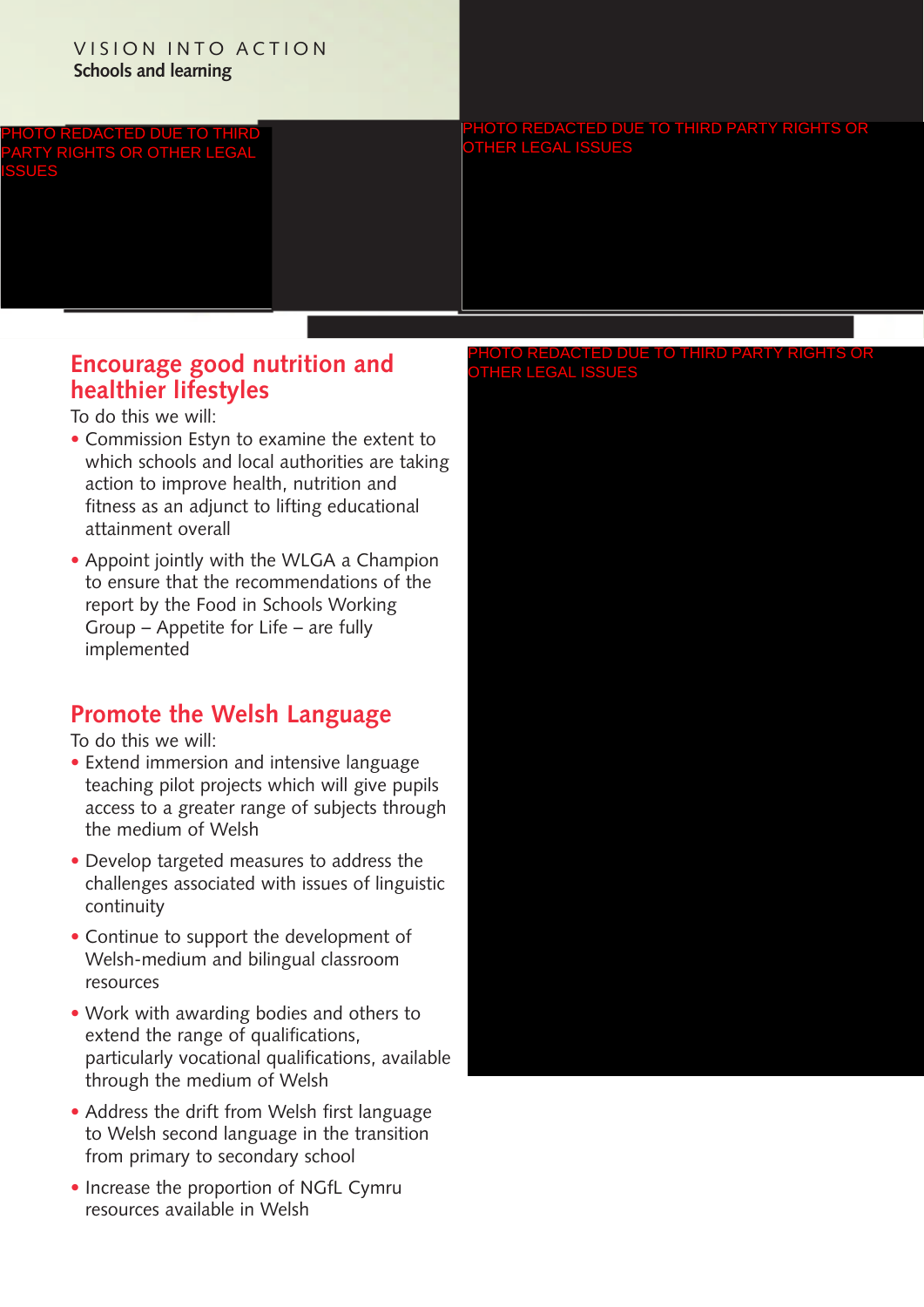#### VISION INTO ACTION **Schools and learning**

CTED DUE TO TH PARTY RIGHTS OR OTHER LEGAL ISSUES

#### DUE TO THIRD PARTY RIGHTS OR OTHER LEGAL ISSUES

# **Encourage good nutrition and healthier lifestyles**

To do this we will:

- Commission Estyn to examine the extent to which schools and local authorities are taking action to improve health, nutrition and fitness as an adjunct to lifting educational attainment overall
- Appoint jointly with the WLGA a Champion to ensure that the recommendations of the report by the Food in Schools Working Group – Appetite for Life – are fully implemented

# **Promote the Welsh Language**

To do this we will:

- Extend immersion and intensive language teaching pilot projects which will give pupils access to a greater range of subjects through the medium of Welsh
- Develop targeted measures to address the challenges associated with issues of linguistic continuity
- Continue to support the development of Welsh-medium and bilingual classroom resources
- Work with awarding bodies and others to extend the range of qualifications, particularly vocational qualifications, available through the medium of Welsh
- Address the drift from Welsh first language to Welsh second language in the transition from primary to secondary school
- Increase the proportion of NGfL Cymru resources available in Welsh

#### TO THIRD OTHER LEGAL ISSUES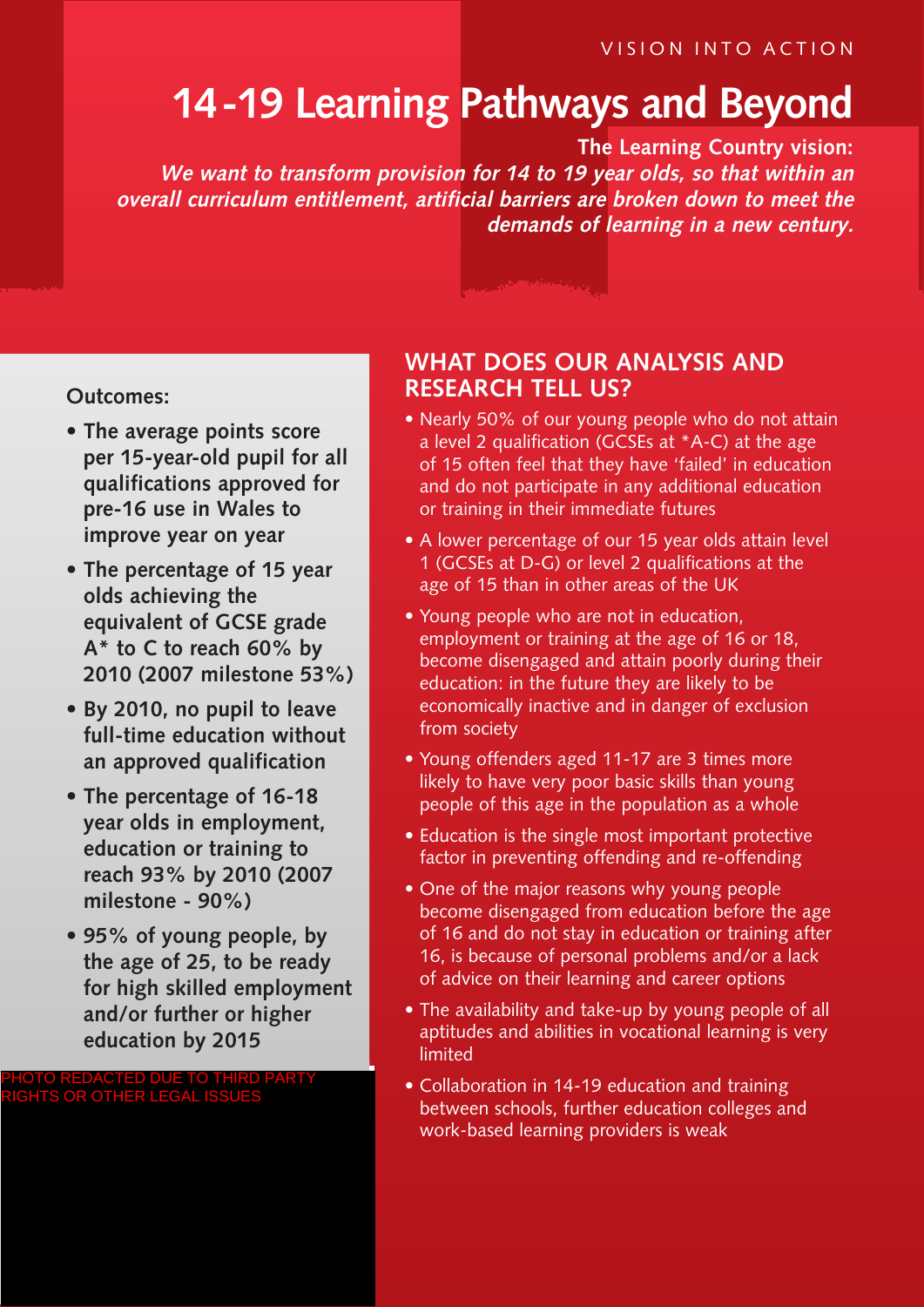VISION INTO ACTION

# **14-19 Learning Pathways and Beyond**

**The Learning Country vision: We want to transform provision for 14 to 19 year olds, so that within an overall curriculum entitlement, artificial barriers are broken down to meet the demands of learning in a new century.**

#### **Outcomes:**

- **• The average points score per 15-year-old pupil for all qualifications approved for pre-16 use in Wales to improve year on year**
- **• The percentage of 15 year olds achieving the equivalent of GCSE grade A\* to C to reach 60% by 2010 (2007 milestone 53%)**
- **• By 2010, no pupil to leave full-time education without an approved qualification**
- **• The percentage of 16-18 year olds in employment, education or training to reach 93% by 2010 (2007 milestone - 90%)**
- **• 95% of young people, by the age of 25, to be ready for high skilled employment and/or further or higher education by 2015**

#### PHOTO REDACTED DUE TO THIRD PARTY RIGHTS OR OTHER LEGAL ISSUES

# **WHAT DOES OUR ANALYSIS AND RESEARCH TELL US?**

- Nearly 50% of our young people who do not attain a level 2 qualification (GCSEs at \*A-C) at the age of 15 often feel that they have 'failed' in education and do not participate in any additional education or training in their immediate futures
- A lower percentage of our 15 year olds attain level 1 (GCSEs at D-G) or level 2 qualifications at the age of 15 than in other areas of the UK
- Young people who are not in education, employment or training at the age of 16 or 18, become disengaged and attain poorly during their education: in the future they are likely to be economically inactive and in danger of exclusion from society
- Young offenders aged 11-17 are 3 times more likely to have very poor basic skills than young people of this age in the population as a whole
- Education is the single most important protective factor in preventing offending and re-offending
- One of the major reasons why young people become disengaged from education before the age of 16 and do not stay in education or training after 16, is because of personal problems and/or a lack of advice on their learning and career options
- The availability and take-up by young people of all aptitudes and abilities in vocational learning is very limited
- Collaboration in 14-19 education and training between schools, further education colleges and work-based learning providers is weak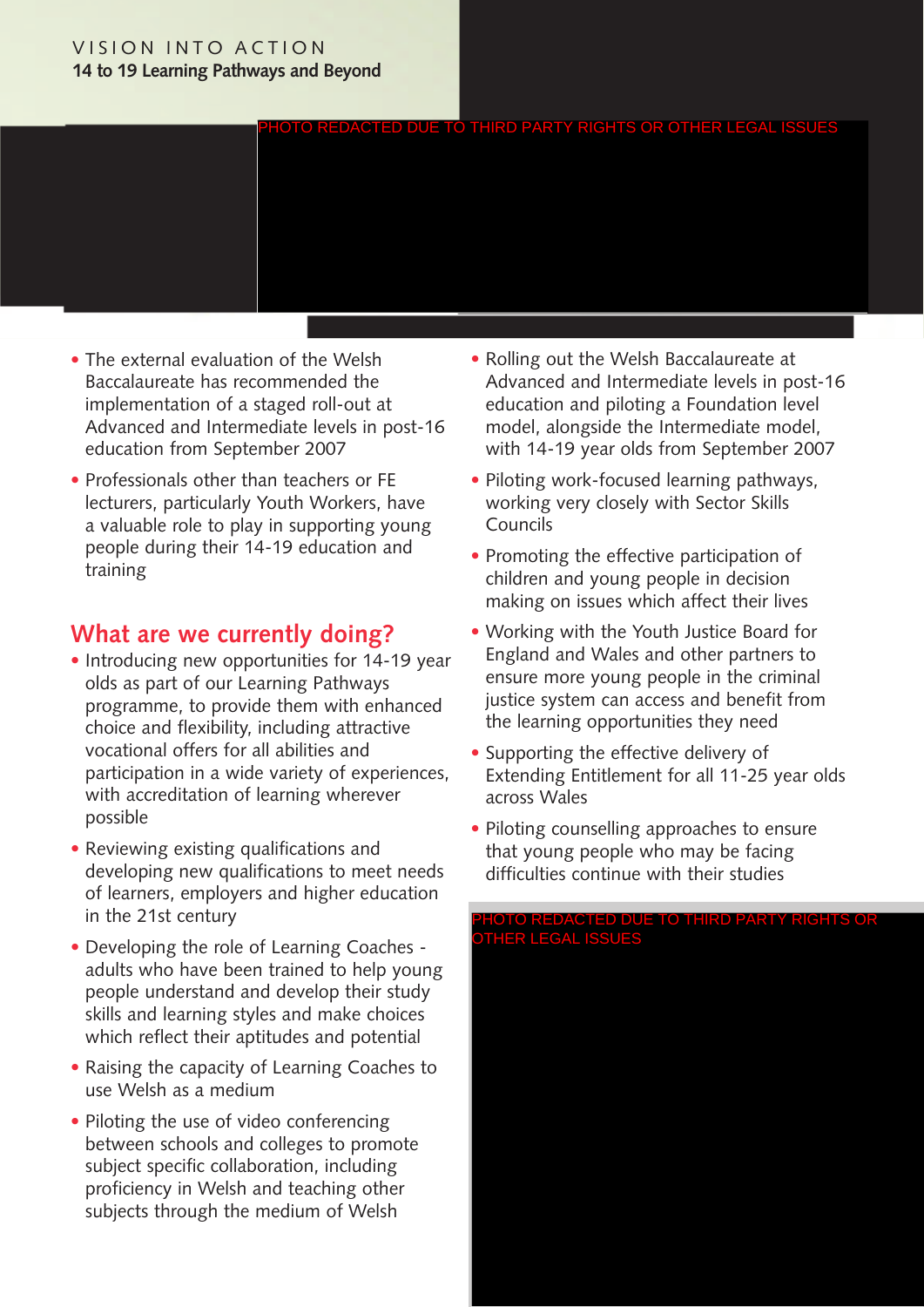#### VISION INTO ACTION **14 to 19 Learning Pathways and Beyond**



- The external evaluation of the Welsh Baccalaureate has recommended the implementation of a staged roll-out at Advanced and Intermediate levels in post-16 education from September 2007
- Professionals other than teachers or FE lecturers, particularly Youth Workers, have a valuable role to play in supporting young people during their 14-19 education and training

# **What are we currently doing?**

- Introducing new opportunities for 14-19 year olds as part of our Learning Pathways programme, to provide them with enhanced choice and flexibility, including attractive vocational offers for all abilities and participation in a wide variety of experiences, with accreditation of learning wherever possible
- Reviewing existing qualifications and developing new qualifications to meet needs of learners, employers and higher education in the 21st century
- Developing the role of Learning Coaches adults who have been trained to help young people understand and develop their study skills and learning styles and make choices which reflect their aptitudes and potential
- Raising the capacity of Learning Coaches to use Welsh as a medium
- Piloting the use of video conferencing between schools and colleges to promote subject specific collaboration, including proficiency in Welsh and teaching other subjects through the medium of Welsh
- Rolling out the Welsh Baccalaureate at Advanced and Intermediate levels in post-16 education and piloting a Foundation level model, alongside the Intermediate model, with 14-19 year olds from September 2007
- Piloting work-focused learning pathways, working very closely with Sector Skills Councils
- Promoting the effective participation of children and young people in decision making on issues which affect their lives
- Working with the Youth Justice Board for England and Wales and other partners to ensure more young people in the criminal justice system can access and benefit from the learning opportunities they need
- Supporting the effective delivery of Extending Entitlement for all 11-25 year olds across Wales
- Piloting counselling approaches to ensure that young people who may be facing difficulties continue with their studies

PHOTO REDACTED DUE TO THIRD PARTY RIGHTS OR OTHER LEGAL ISSUES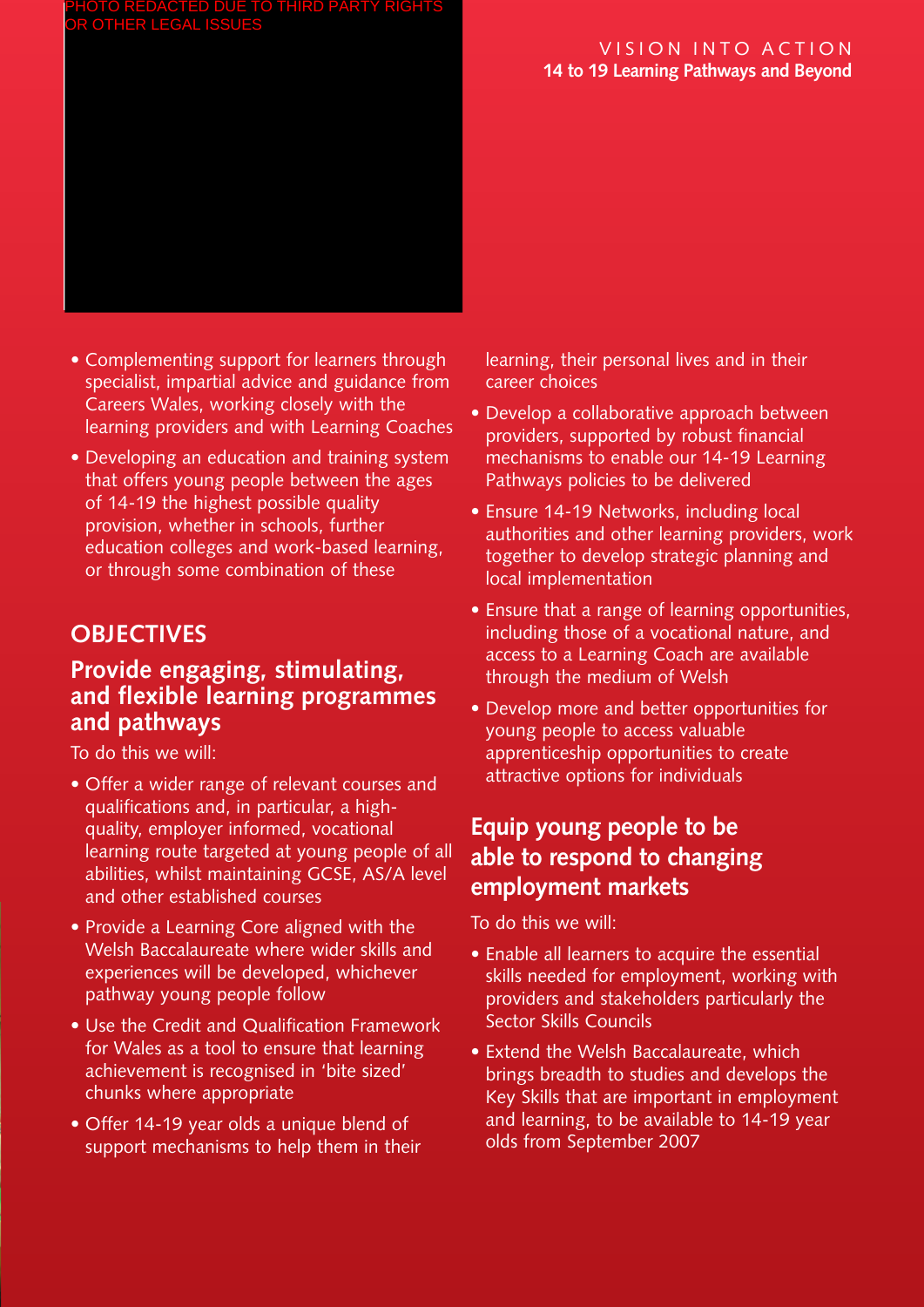#### PHOTO REDACTED DUE TO THIRD PARTY RIGHTS OTHER LEG

#### VISION INTO ACTION **14 to 19 Learning Pathways and Beyond**

# • Complementing support for learners through

- specialist, impartial advice and guidance from Careers Wales, working closely with the learning providers and with Learning Coaches
- Developing an education and training system that offers young people between the ages of 14-19 the highest possible quality provision, whether in schools, further education colleges and work-based learning, or through some combination of these

# **OBJECTIVES**

# **Provide engaging, stimulating, and flexible learning programmes and pathways**

To do this we will:

- Offer a wider range of relevant courses and qualifications and, in particular, a highquality, employer informed, vocational learning route targeted at young people of all abilities, whilst maintaining GCSE, AS/A level and other established courses
- Provide a Learning Core aligned with the Welsh Baccalaureate where wider skills and experiences will be developed, whichever pathway young people follow
- Use the Credit and Qualification Framework for Wales as a tool to ensure that learning achievement is recognised in 'bite sized' chunks where appropriate
- Offer 14-19 year olds a unique blend of support mechanisms to help them in their

learning, their personal lives and in their career choices

- Develop a collaborative approach between providers, supported by robust financial mechanisms to enable our 14-19 Learning Pathways policies to be delivered
- Ensure 14-19 Networks, including local authorities and other learning providers, work together to develop strategic planning and local implementation
- Ensure that a range of learning opportunities, including those of a vocational nature, and access to a Learning Coach are available through the medium of Welsh
- Develop more and better opportunities for young people to access valuable apprenticeship opportunities to create attractive options for individuals

# **Equip young people to be able to respond to changing employment markets**

- Enable all learners to acquire the essential skills needed for employment, working with providers and stakeholders particularly the Sector Skills Councils
- Extend the Welsh Baccalaureate, which brings breadth to studies and develops the Key Skills that are important in employment and learning, to be available to 14-19 year olds from September 2007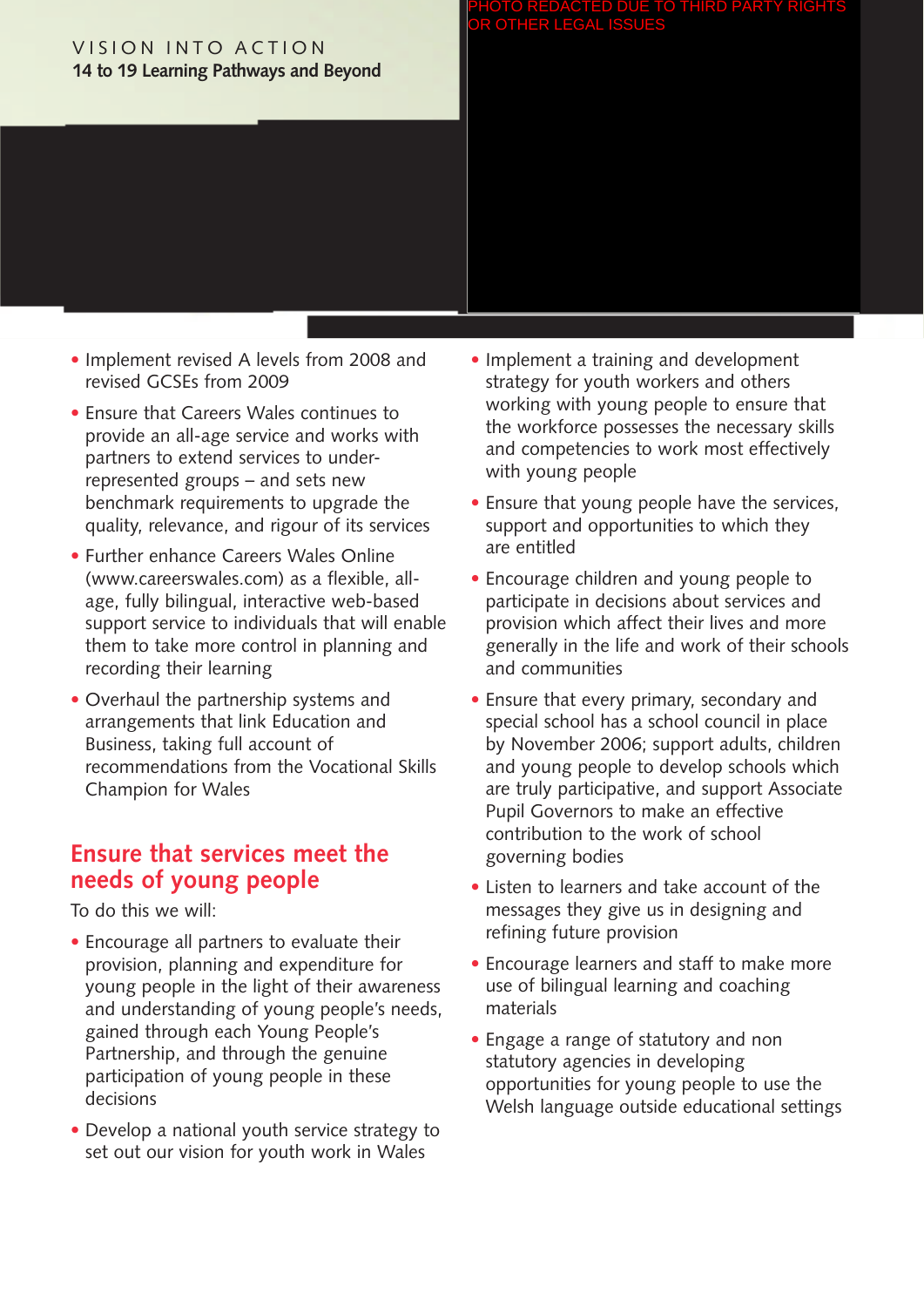#### VISION INTO ACTION **14 to 19 Learning Pathways and Beyond**

#### PHOTO REDACTED DUE TO THIRD PARTY RIGHTS OR OTHER LEGAL ISSUES

- Implement revised A levels from 2008 and revised GCSEs from 2009
- Ensure that Careers Wales continues to provide an all-age service and works with partners to extend services to underrepresented groups – and sets new benchmark requirements to upgrade the quality, relevance, and rigour of its services
- Further enhance Careers Wales Online (www.careerswales.com) as a flexible, allage, fully bilingual, interactive web-based support service to individuals that will enable them to take more control in planning and recording their learning
- Overhaul the partnership systems and arrangements that link Education and Business, taking full account of recommendations from the Vocational Skills Champion for Wales

# **Ensure that services meet the needs of young people**

- Encourage all partners to evaluate their provision, planning and expenditure for young people in the light of their awareness and understanding of young people's needs, gained through each Young People's Partnership, and through the genuine participation of young people in these decisions
- Develop a national youth service strategy to set out our vision for youth work in Wales
- Implement a training and development strategy for youth workers and others working with young people to ensure that the workforce possesses the necessary skills and competencies to work most effectively with young people
- Ensure that young people have the services, support and opportunities to which they are entitled
- Encourage children and young people to participate in decisions about services and provision which affect their lives and more generally in the life and work of their schools and communities
- Ensure that every primary, secondary and special school has a school council in place by November 2006; support adults, children and young people to develop schools which are truly participative, and support Associate Pupil Governors to make an effective contribution to the work of school governing bodies
- Listen to learners and take account of the messages they give us in designing and refining future provision
- Encourage learners and staff to make more use of bilingual learning and coaching materials
- Engage a range of statutory and non statutory agencies in developing opportunities for young people to use the Welsh language outside educational settings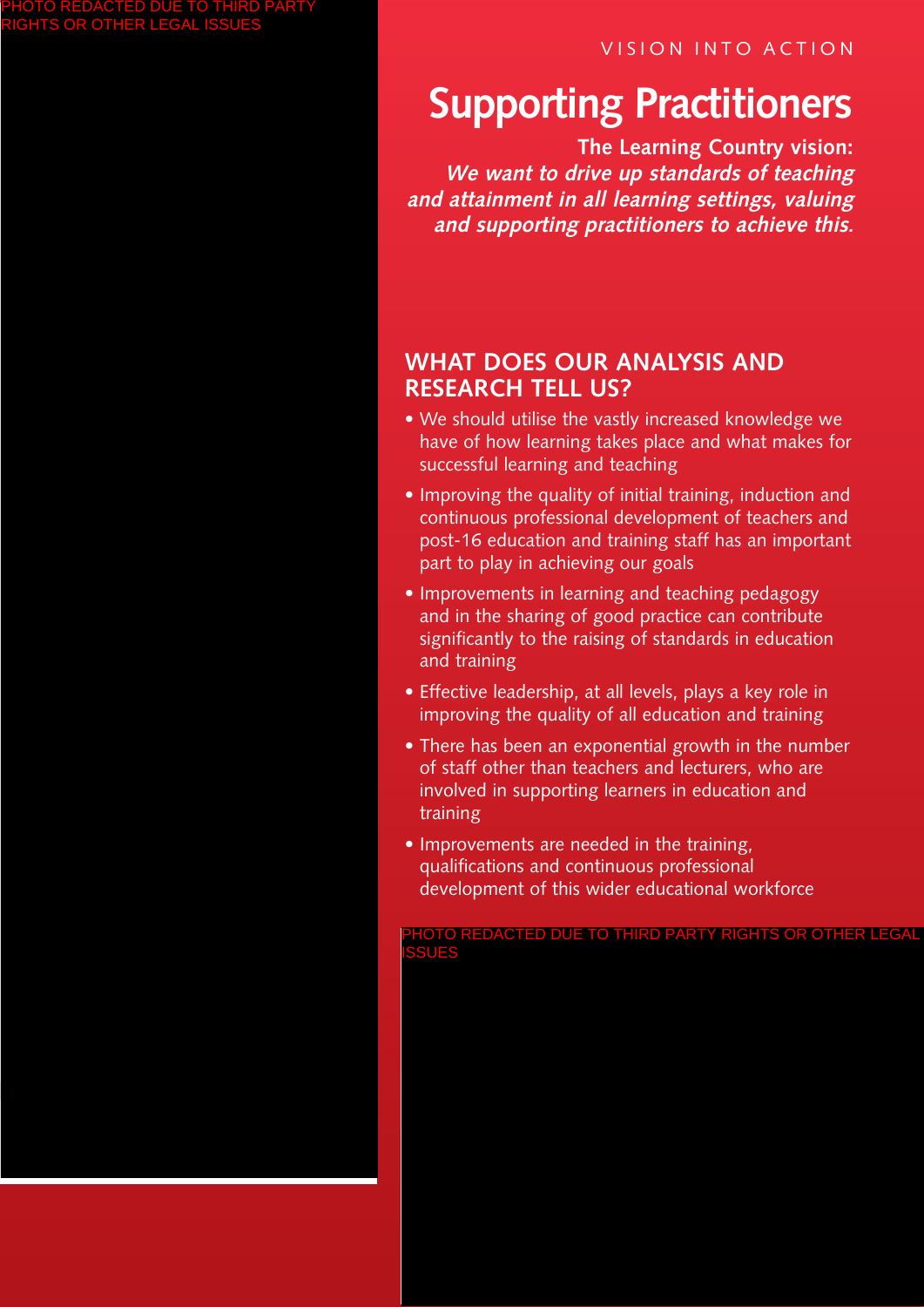VISION INTO ACTION

# **Supporting Practitioners**

**The Learning Country vision: We want to drive up standards of teaching and attainment in all learning settings, valuing and supporting practitioners to achieve this.**

# **WHAT DOES OUR ANALYSIS AND RESEARCH TELL US?**

- We should utilise the vastly increased knowledge we have of how learning takes place and what makes for successful learning and teaching
- Improving the quality of initial training, induction and continuous professional development of teachers and post-16 education and training staff has an important part to play in achieving our goals
- Improvements in learning and teaching pedagogy and in the sharing of good practice can contribute significantly to the raising of standards in education and training
- Effective leadership, at all levels, plays a key role in improving the quality of all education and training
- There has been an exponential growth in the number of staff other than teachers and lecturers, who are involved in supporting learners in education and training
- Improvements are needed in the training, qualifications and continuous professional development of this wider educational workforce

OTO REDACTED DUE TO THIRD PARTY RIGHTS OR OTHER LEGAL ISSUES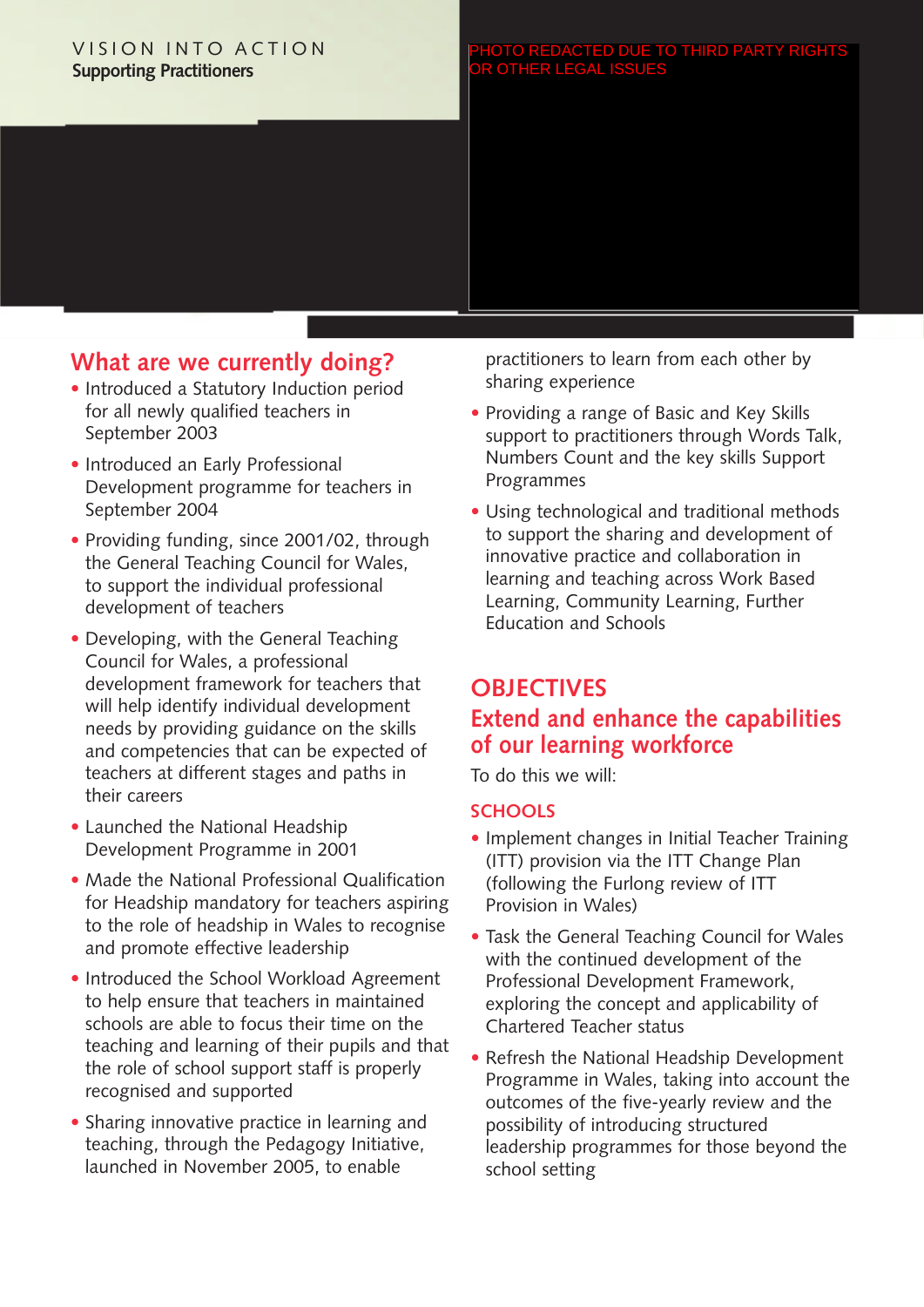#### VISION INTO ACTION **Supporting Practitioners**

# **What are we currently doing?**

- Introduced a Statutory Induction period for all newly qualified teachers in September 2003
- Introduced an Early Professional Development programme for teachers in September 2004
- Providing funding, since 2001/02, through the General Teaching Council for Wales, to support the individual professional development of teachers
- Developing, with the General Teaching Council for Wales, a professional development framework for teachers that will help identify individual development needs by providing guidance on the skills and competencies that can be expected of teachers at different stages and paths in their careers
- Launched the National Headship Development Programme in 2001
- Made the National Professional Qualification for Headship mandatory for teachers aspiring to the role of headship in Wales to recognise and promote effective leadership
- Introduced the School Workload Agreement to help ensure that teachers in maintained schools are able to focus their time on the teaching and learning of their pupils and that the role of school support staff is properly recognised and supported
- Sharing innovative practice in learning and teaching, through the Pedagogy Initiative, launched in November 2005, to enable

practitioners to learn from each other by sharing experience

- Providing a range of Basic and Key Skills support to practitioners through Words Talk, Numbers Count and the key skills Support Programmes
- Using technological and traditional methods to support the sharing and development of innovative practice and collaboration in learning and teaching across Work Based Learning, Community Learning, Further Education and Schools

# **OBJECTIVES Extend and enhance the capabilities of our learning workforce**

To do this we will:

#### **SCHOOLS**

- Implement changes in Initial Teacher Training (ITT) provision via the ITT Change Plan (following the Furlong review of ITT Provision in Wales)
- Task the General Teaching Council for Wales with the continued development of the Professional Development Framework, exploring the concept and applicability of Chartered Teacher status
- Refresh the National Headship Development Programme in Wales, taking into account the outcomes of the five-yearly review and the possibility of introducing structured leadership programmes for those beyond the school setting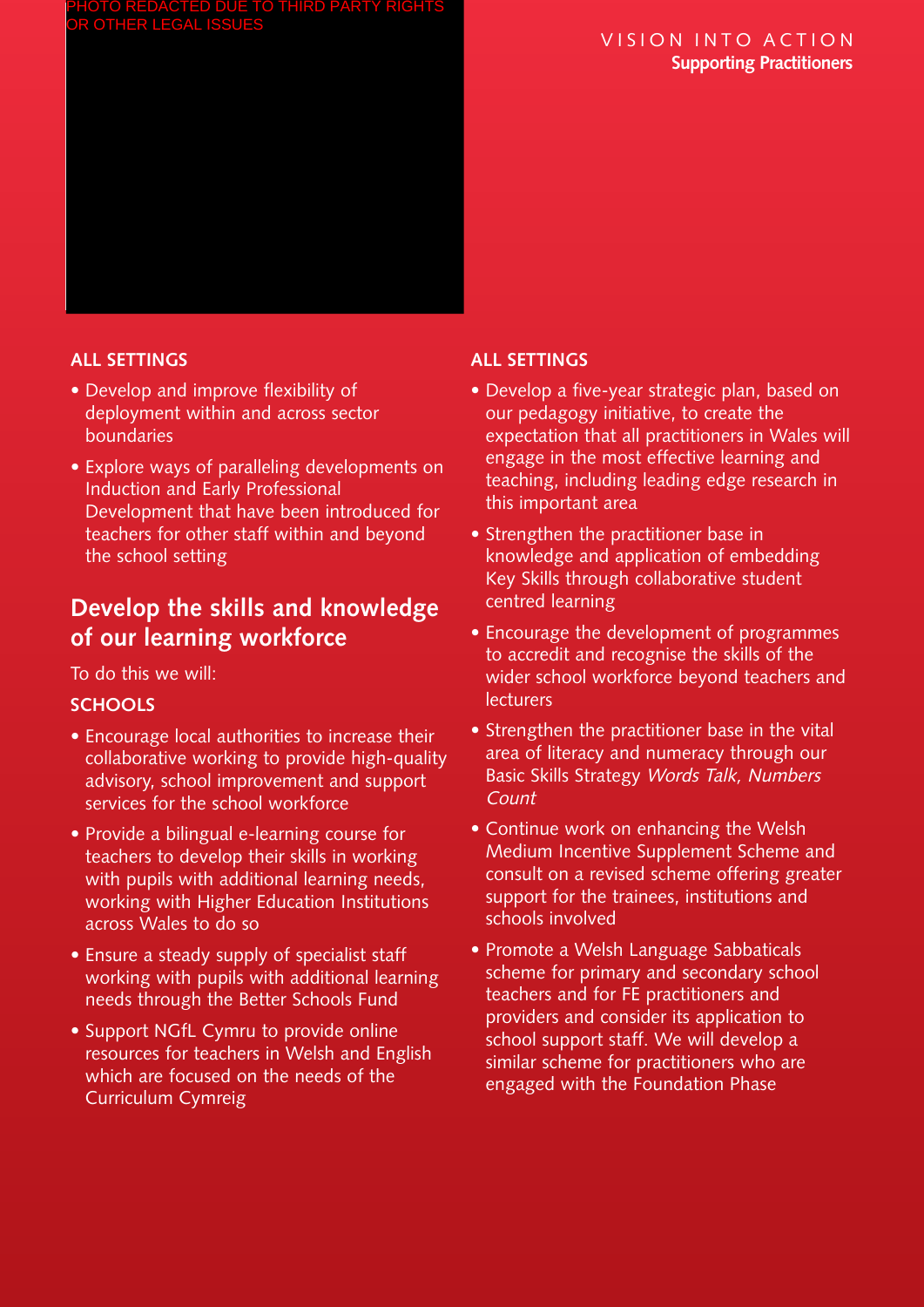#### VISION INTO ACTION **Supporting Practitioners**

#### **ALL SETTINGS**

- Develop and improve flexibility of deployment within and across sector boundaries
- Explore ways of paralleling developments on Induction and Early Professional Development that have been introduced for teachers for other staff within and beyond the school setting

# **Develop the skills and knowledge of our learning workforce**

To do this we will:

#### **SCHOOLS**

- Encourage local authorities to increase their collaborative working to provide high-quality advisory, school improvement and support services for the school workforce
- Provide a bilingual e-learning course for teachers to develop their skills in working with pupils with additional learning needs, working with Higher Education Institutions across Wales to do so
- Ensure a steady supply of specialist staff working with pupils with additional learning needs through the Better Schools Fund
- Support NGfL Cymru to provide online resources for teachers in Welsh and English which are focused on the needs of the Curriculum Cymreig

#### **ALL SETTINGS**

- Develop a five-year strategic plan, based on our pedagogy initiative, to create the expectation that all practitioners in Wales will engage in the most effective learning and teaching, including leading edge research in this important area
- Strengthen the practitioner base in knowledge and application of embedding Key Skills through collaborative student centred learning
- Encourage the development of programmes to accredit and recognise the skills of the wider school workforce beyond teachers and lecturers
- Strengthen the practitioner base in the vital area of literacy and numeracy through our Basic Skills Strategy Words Talk, Numbers Count
- Continue work on enhancing the Welsh Medium Incentive Supplement Scheme and consult on a revised scheme offering greater support for the trainees, institutions and schools involved
- Promote a Welsh Language Sabbaticals scheme for primary and secondary school teachers and for FE practitioners and providers and consider its application to school support staff. We will develop a similar scheme for practitioners who are engaged with the Foundation Phase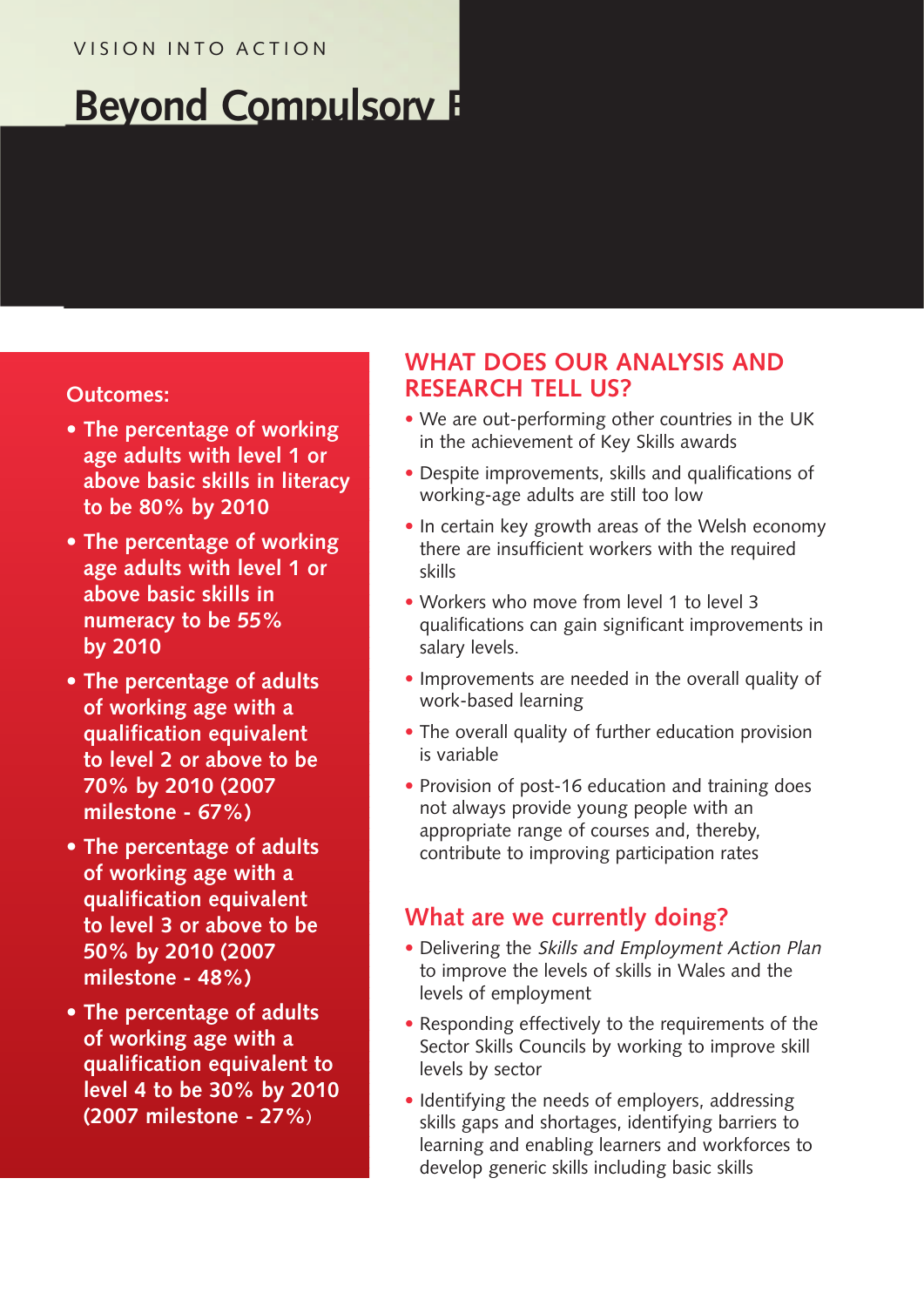#### VISION INTO ACTION

# **Beyond Compulsory E**

#### **Outcomes:**

- **• The percentage of working age adults with level 1 or above basic skills in literacy to be 80% by 2010**
- **• The percentage of working age adults with level 1 or above basic skills in numeracy to be 55% by 2010**
- **• The percentage of adults of working age with a qualification equivalent to level 2 or above to be 70% by 2010 (2007 milestone - 67%)**
- **• The percentage of adults of working age with a qualification equivalent to level 3 or above to be 50% by 2010 (2007 milestone - 48%)**
- **• The percentage of adults of working age with a qualification equivalent to level 4 to be 30% by 2010 (2007 milestone - 27%**)

# **WHAT DOES OUR ANALYSIS AND RESEARCH TELL US?**

- We are out-performing other countries in the UK in the achievement of Key Skills awards
- Despite improvements, skills and qualifications of working-age adults are still too low
- In certain key growth areas of the Welsh economy there are insufficient workers with the required skills
- Workers who move from level 1 to level 3 qualifications can gain significant improvements in salary levels.
- Improvements are needed in the overall quality of work-based learning
- The overall quality of further education provision is variable
- Provision of post-16 education and training does not always provide young people with an appropriate range of courses and, thereby, contribute to improving participation rates

# **What are we currently doing?**

- Delivering the Skills and Employment Action Plan to improve the levels of skills in Wales and the levels of employment
- Responding effectively to the requirements of the Sector Skills Councils by working to improve skill levels by sector
- Identifying the needs of employers, addressing skills gaps and shortages, identifying barriers to learning and enabling learners and workforces to develop generic skills including basic skills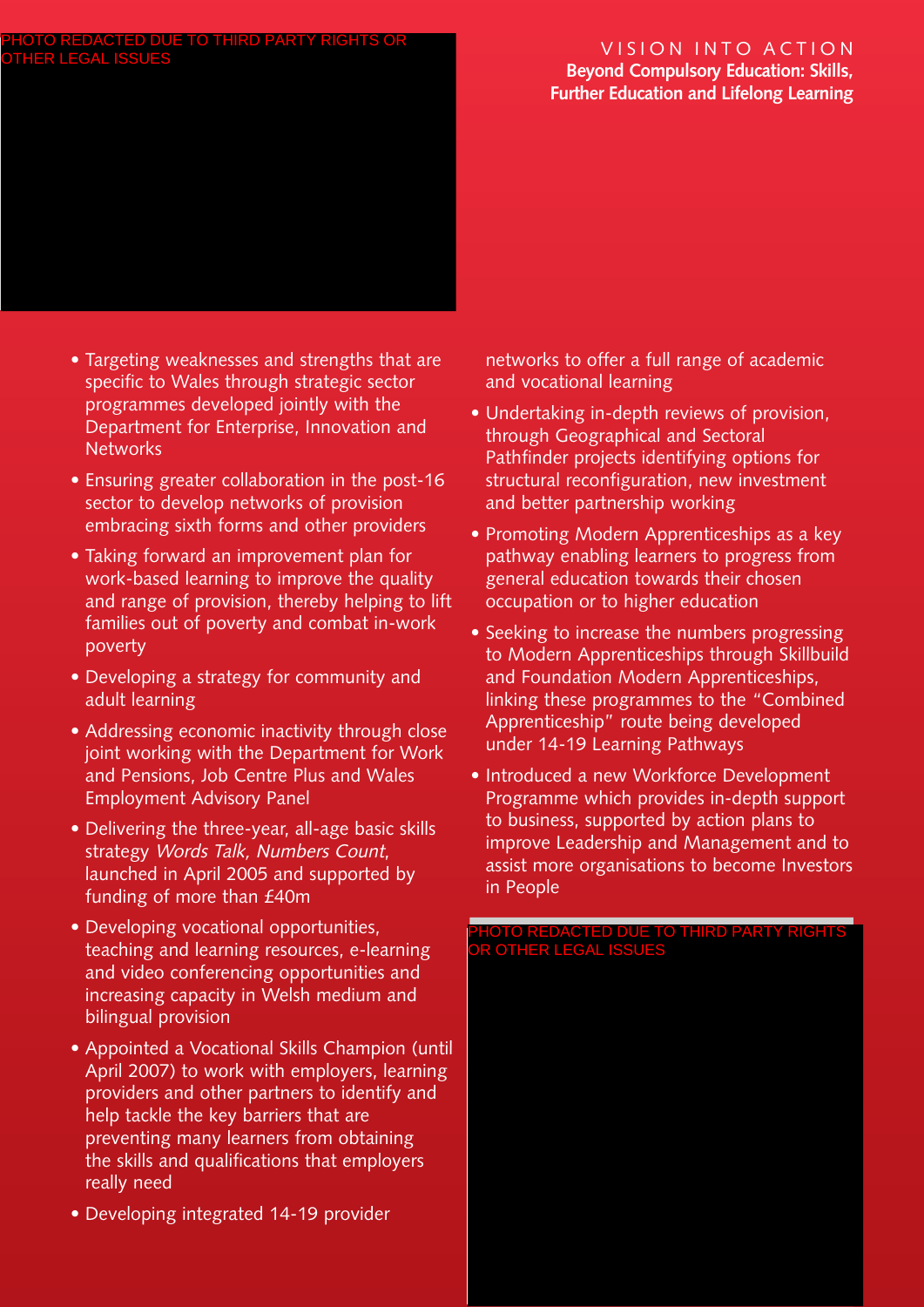#### VISION INTO ACTION **Beyond Compulsory Education: Skills, Further Education and Lifelong Learning**

#### • Targeting weaknesses and strengths that are specific to Wales through strategic sector programmes developed jointly with the Department for Enterprise, Innovation and **Networks**

- Ensuring greater collaboration in the post-16 sector to develop networks of provision embracing sixth forms and other providers
- Taking forward an improvement plan for work-based learning to improve the quality and range of provision, thereby helping to lift families out of poverty and combat in-work poverty
- Developing a strategy for community and adult learning
- Addressing economic inactivity through close joint working with the Department for Work and Pensions, Job Centre Plus and Wales Employment Advisory Panel
- Delivering the three-year, all-age basic skills strategy Words Talk, Numbers Count, launched in April 2005 and supported by funding of more than £40m
- Developing vocational opportunities, teaching and learning resources, e-learning and video conferencing opportunities and increasing capacity in Welsh medium and bilingual provision
- Appointed a Vocational Skills Champion (until April 2007) to work with employers, learning providers and other partners to identify and help tackle the key barriers that are preventing many learners from obtaining the skills and qualifications that employers really need
- Developing integrated 14-19 provider

networks to offer a full range of academic and vocational learning

- Undertaking in-depth reviews of provision, through Geographical and Sectoral Pathfinder projects identifying options for structural reconfiguration, new investment and better partnership working
- Promoting Modern Apprenticeships as a key pathway enabling learners to progress from general education towards their chosen occupation or to higher education
- Seeking to increase the numbers progressing to Modern Apprenticeships through Skillbuild and Foundation Modern Apprenticeships, linking these programmes to the "Combined Apprenticeship" route being developed under 14-19 Learning Pathways
- Introduced a new Workforce Development Programme which provides in-depth support to business, supported by action plans to improve Leadership and Management and to assist more organisations to become Investors in People

#### PHOTO REDACTED DUE TO THIRD PARTY RIGHTS OR OTHER LEGAL ISSUES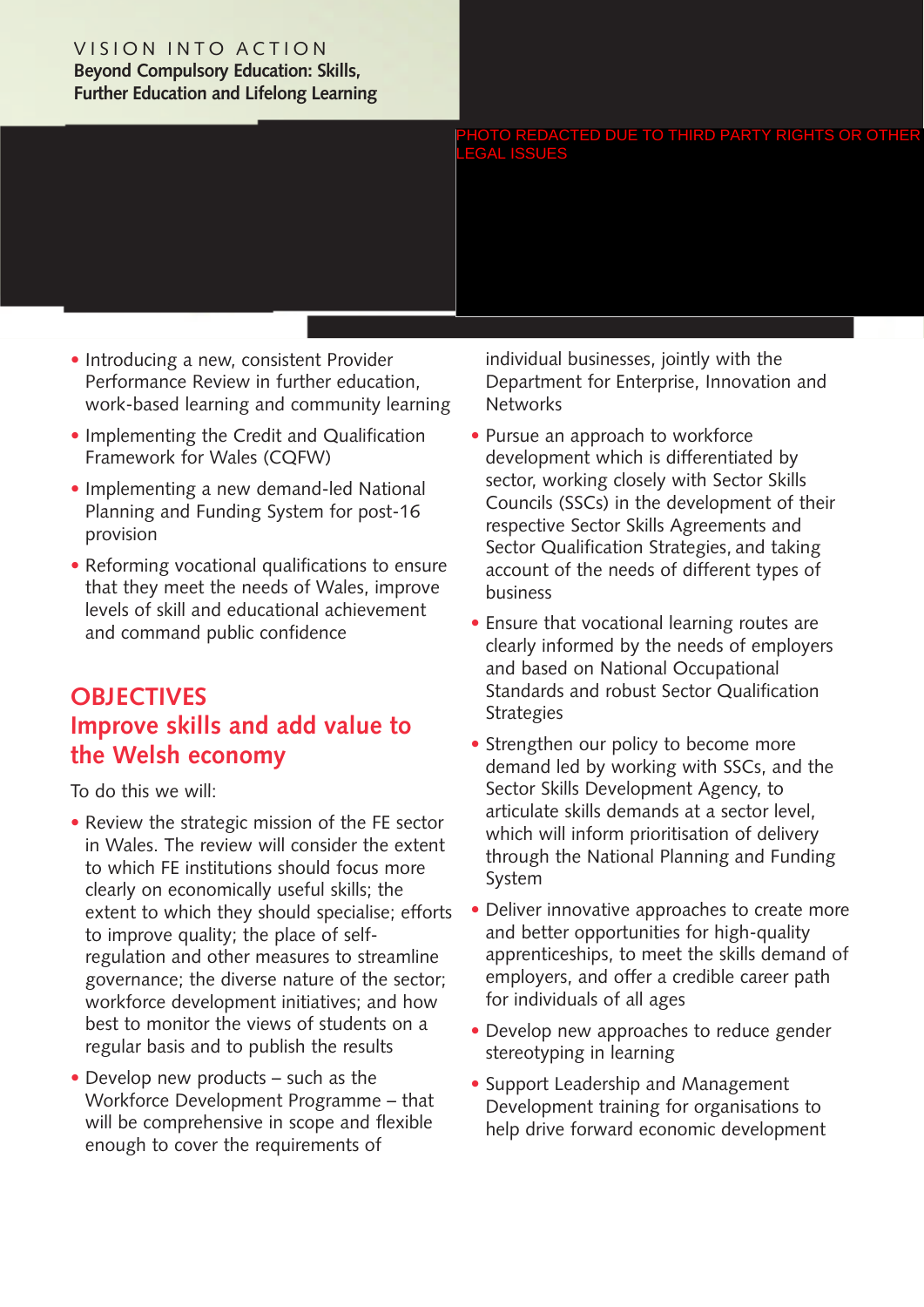#### VISION INTO ACTION **Beyond Compulsory Education: Skills, Further Education and Lifelong Learning**

LEGAL ISSUES

- Introducing a new, consistent Provider Performance Review in further education, work-based learning and community learning
- Implementing the Credit and Qualification Framework for Wales (CQFW)
- Implementing a new demand-led National Planning and Funding System for post-16 provision
- Reforming vocational qualifications to ensure that they meet the needs of Wales, improve levels of skill and educational achievement and command public confidence

# **OBJECTIVES Improve skills and add value to the Welsh economy**

To do this we will:

- Review the strategic mission of the FE sector in Wales. The review will consider the extent to which FE institutions should focus more clearly on economically useful skills; the extent to which they should specialise; efforts to improve quality; the place of selfregulation and other measures to streamline governance; the diverse nature of the sector; workforce development initiatives; and how best to monitor the views of students on a regular basis and to publish the results
- Develop new products such as the Workforce Development Programme – that will be comprehensive in scope and flexible enough to cover the requirements of

individual businesses, jointly with the Department for Enterprise, Innovation and **Networks** 

- Pursue an approach to workforce development which is differentiated by sector, working closely with Sector Skills Councils (SSCs) in the development of their respective Sector Skills Agreements and Sector Qualification Strategies, and taking account of the needs of different types of business **PHOTO REDACTED DUE TO THIRD PARTY RIGHTS OR OTHER**<br> **LEGAL ISSUES**<br> **CONDUCT CONTABATY** (Interaction and Networks<br> **e** Pursue an approach to workforce<br> **development which is differentiated by**<br>
sector, working closely wi
	- Ensure that vocational learning routes are clearly informed by the needs of employers and based on National Occupational Standards and robust Sector Qualification **Strategies**
	- Strengthen our policy to become more demand led by working with SSCs, and the Sector Skills Development Agency, to articulate skills demands at a sector level, which will inform prioritisation of delivery through the National Planning and Funding System
	- Deliver innovative approaches to create more and better opportunities for high-quality apprenticeships, to meet the skills demand of employers, and offer a credible career path for individuals of all ages
	- Develop new approaches to reduce gender stereotyping in learning
	- Support Leadership and Management Development training for organisations to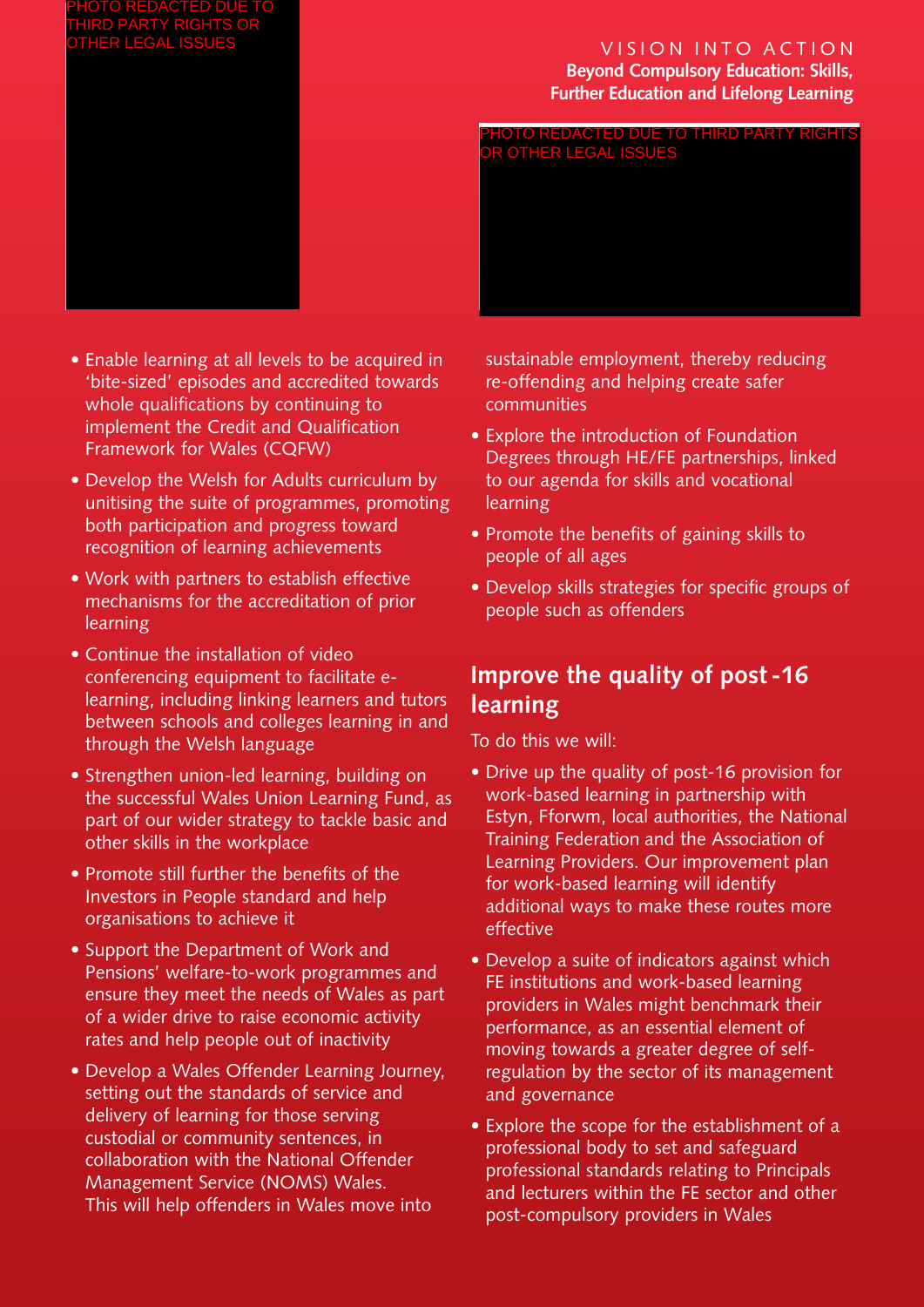#### VISION INTO ACTION **Beyond Compulsory Education: Skills, Further Education and Lifelong Learning**

PHOTO REDACTED DUE TO THIRD PARTY RIGHTS

OR OTHER LEGAL ISSUES



- Enable learning at all levels to be acquired in 'bite-sized' episodes and accredited towards whole qualifications by continuing to implement the Credit and Qualification Framework for Wales (CQFW)
- Develop the Welsh for Adults curriculum by unitising the suite of programmes, promoting both participation and progress toward recognition of learning achievements
- Work with partners to establish effective mechanisms for the accreditation of prior learning
- Continue the installation of video conferencing equipment to facilitate elearning, including linking learners and tutors between schools and colleges learning in and through the Welsh language
- Strengthen union-led learning, building on the successful Wales Union Learning Fund, as part of our wider strategy to tackle basic and other skills in the workplace
- Promote still further the benefits of the Investors in People standard and help organisations to achieve it
- Support the Department of Work and Pensions' welfare-to-work programmes and ensure they meet the needs of Wales as part of a wider drive to raise economic activity rates and help people out of inactivity
- Develop a Wales Offender Learning Journey, setting out the standards of service and delivery of learning for those serving custodial or community sentences, in collaboration with the National Offender Management Service (NOMS) Wales. This will help offenders in Wales move into

sustainable employment, thereby reducing re-offending and helping create safer communities

- Explore the introduction of Foundation Degrees through HE/FE partnerships, linked to our agenda for skills and vocational learning
- Promote the benefits of gaining skills to people of all ages
- Develop skills strategies for specific groups of people such as offenders

# **Improve the quality of post -16 learning**

- Drive up the quality of post-16 provision for work-based learning in partnership with Estyn, Fforwm, local authorities, the National Training Federation and the Association of Learning Providers. Our improvement plan for work-based learning will identify additional ways to make these routes more effective
- Develop a suite of indicators against which FE institutions and work-based learning providers in Wales might benchmark their performance, as an essential element of moving towards a greater degree of selfregulation by the sector of its management and governance
- Explore the scope for the establishment of a professional body to set and safeguard professional standards relating to Principals and lecturers within the FE sector and other post-compulsory providers in Wales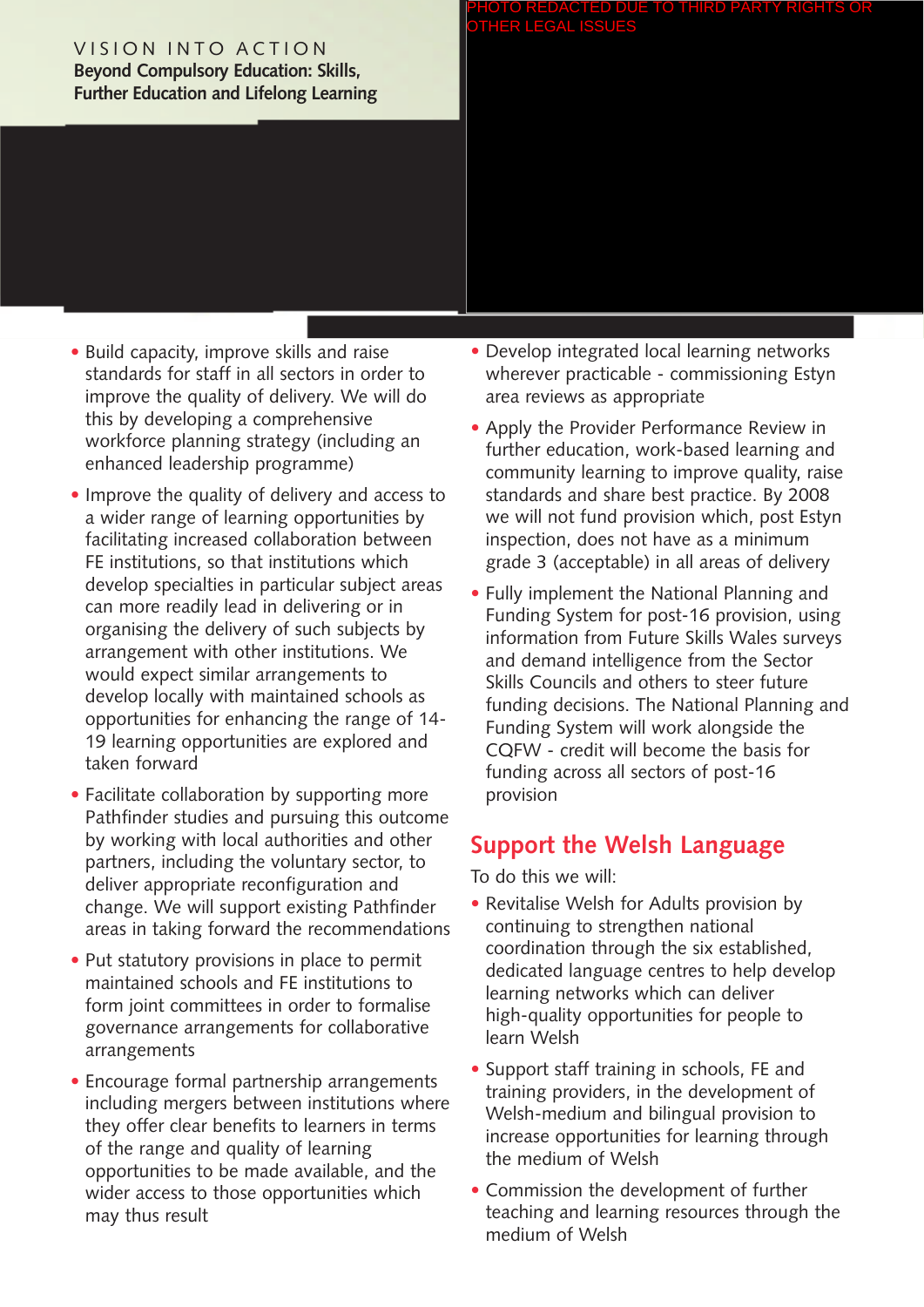#### VISION INTO ACTION **Beyond Compulsory Education: Skills, Further Education and Lifelong Learning**

#### PHOTO REDACTED DUE TO THIRD PARTY RIGHTS OR OTHER LEGAL ISSUES

- Build capacity, improve skills and raise standards for staff in all sectors in order to improve the quality of delivery. We will do this by developing a comprehensive workforce planning strategy (including an enhanced leadership programme)
- Improve the quality of delivery and access to a wider range of learning opportunities by facilitating increased collaboration between FE institutions, so that institutions which develop specialties in particular subject areas can more readily lead in delivering or in organising the delivery of such subjects by arrangement with other institutions. We would expect similar arrangements to develop locally with maintained schools as opportunities for enhancing the range of 14- 19 learning opportunities are explored and taken forward
- Facilitate collaboration by supporting more Pathfinder studies and pursuing this outcome by working with local authorities and other partners, including the voluntary sector, to deliver appropriate reconfiguration and change. We will support existing Pathfinder areas in taking forward the recommendations
- Put statutory provisions in place to permit maintained schools and FE institutions to form joint committees in order to formalise governance arrangements for collaborative arrangements
- Encourage formal partnership arrangements including mergers between institutions where they offer clear benefits to learners in terms of the range and quality of learning opportunities to be made available, and the wider access to those opportunities which may thus result
- Develop integrated local learning networks wherever practicable - commissioning Estyn area reviews as appropriate
- Apply the Provider Performance Review in further education, work-based learning and community learning to improve quality, raise standards and share best practice. By 2008 we will not fund provision which, post Estyn inspection, does not have as a minimum grade 3 (acceptable) in all areas of delivery
- Fully implement the National Planning and Funding System for post-16 provision, using information from Future Skills Wales surveys and demand intelligence from the Sector Skills Councils and others to steer future funding decisions. The National Planning and Funding System will work alongside the CQFW - credit will become the basis for funding across all sectors of post-16 provision

# **Support the Welsh Language**

- Revitalise Welsh for Adults provision by continuing to strengthen national coordination through the six established, dedicated language centres to help develop learning networks which can deliver high-quality opportunities for people to learn Welsh
- Support staff training in schools, FE and training providers, in the development of Welsh-medium and bilingual provision to increase opportunities for learning through the medium of Welsh
- Commission the development of further teaching and learning resources through the medium of Welsh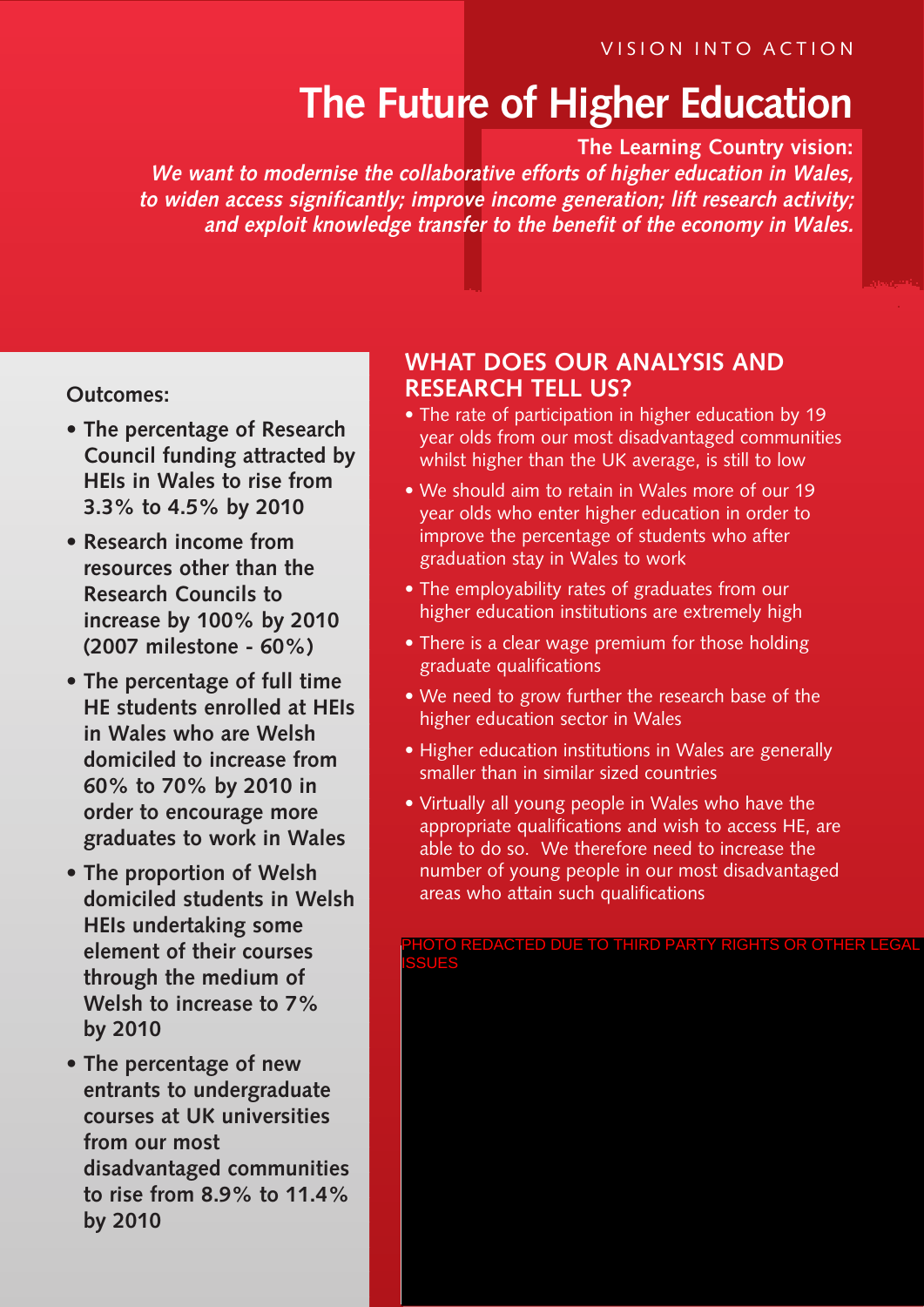# **The Future of Higher Education**

**The Learning Country vision:**

**We want to modernise the collaborative efforts of higher education in Wales, to widen access significantly; improve income generation; lift research activity; and exploit knowledge transfer to the benefit of the economy in Wales.**

#### **Outcomes:**

- **• The percentage of Research Council funding attracted by HEIs in Wales to rise from 3.3% to 4.5% by 2010**
- **• Research income from resources other than the Research Councils to increase by 100% by 2010 (2007 milestone - 60%)**
- **• The percentage of full time HE students enrolled at HEIs in Wales who are Welsh domiciled to increase from 60% to 70% by 2010 in order to encourage more graduates to work in Wales**
- **• The proportion of Welsh domiciled students in Welsh HEIs undertaking some element of their courses through the medium of Welsh to increase to 7% by 2010**
- **• The percentage of new entrants to undergraduate courses at UK universities from our most disadvantaged communities to rise from 8.9% to 11.4% by 2010**

## **WHAT DOES OUR ANALYSIS AND RESEARCH TELL US?**

- The rate of participation in higher education by 19 year olds from our most disadvantaged communities whilst higher than the UK average, is still to low
- We should aim to retain in Wales more of our 19 year olds who enter higher education in order to improve the percentage of students who after graduation stay in Wales to work
- The employability rates of graduates from our higher education institutions are extremely high
- There is a clear wage premium for those holding graduate qualifications
- We need to grow further the research base of the higher education sector in Wales
- Higher education institutions in Wales are generally smaller than in similar sized countries
- Virtually all young people in Wales who have the appropriate qualifications and wish to access HE, are able to do so. We therefore need to increase the number of young people in our most disadvantaged areas who attain such qualifications

OTO REDACTED DUE TO THIRD PARTY RIGHTS OR OTHER LEGAL ISSUES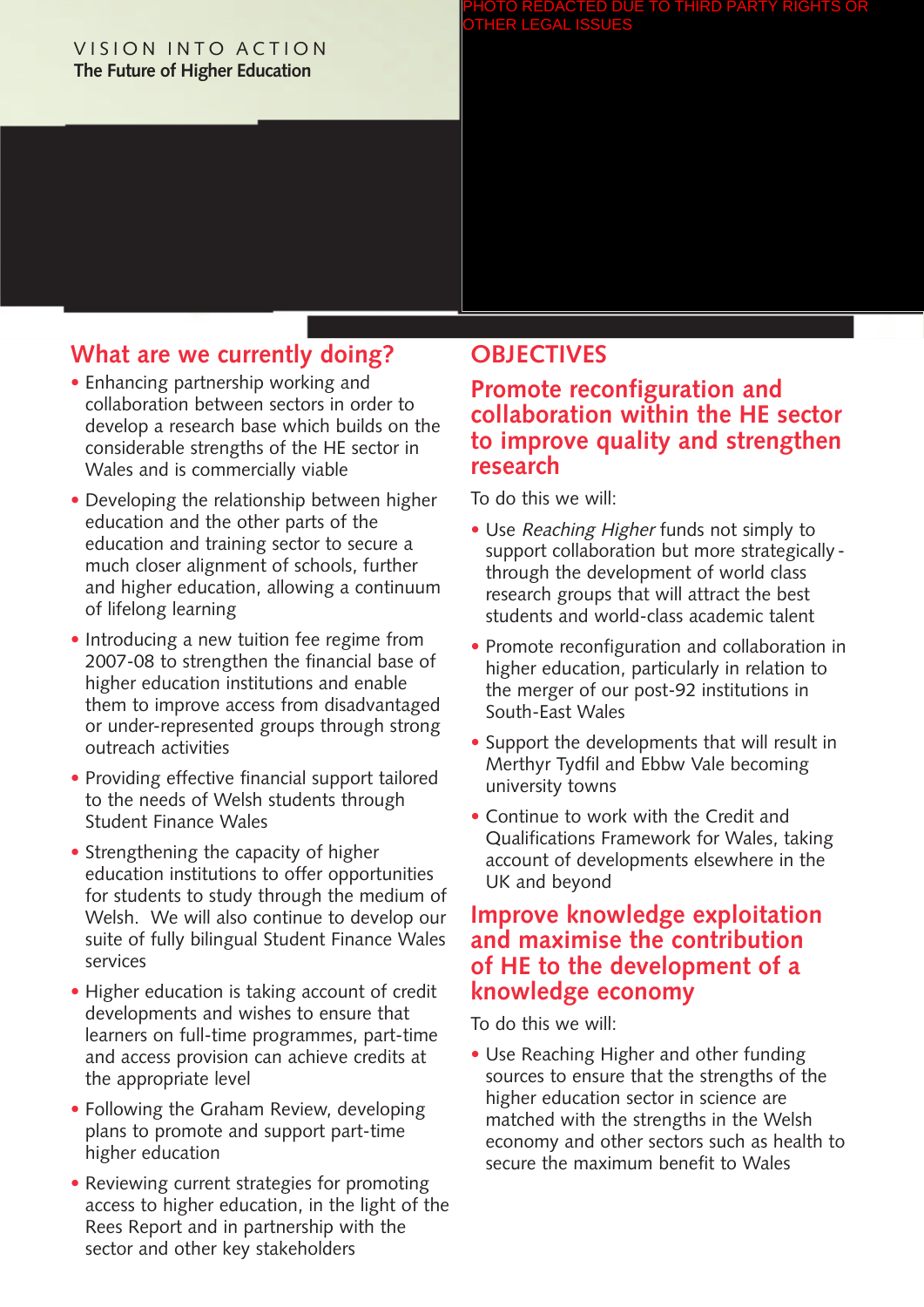#### VISION INTO ACTION **The Future of Higher Education**

#### PHOTO REDACTED DUE TO THIRD PARTY RIGHTS OR OTHER LEGAL ISSUES

# **What are we currently doing?**

- Enhancing partnership working and collaboration between sectors in order to develop a research base which builds on the considerable strengths of the HE sector in Wales and is commercially viable
- Developing the relationship between higher education and the other parts of the education and training sector to secure a much closer alignment of schools, further and higher education, allowing a continuum of lifelong learning
- Introducing a new tuition fee regime from 2007-08 to strengthen the financial base of higher education institutions and enable them to improve access from disadvantaged or under-represented groups through strong outreach activities
- Providing effective financial support tailored to the needs of Welsh students through Student Finance Wales
- Strengthening the capacity of higher education institutions to offer opportunities for students to study through the medium of Welsh. We will also continue to develop our suite of fully bilingual Student Finance Wales services
- Higher education is taking account of credit developments and wishes to ensure that learners on full-time programmes, part-time and access provision can achieve credits at the appropriate level
- Following the Graham Review, developing plans to promote and support part-time higher education
- Reviewing current strategies for promoting access to higher education, in the light of the Rees Report and in partnership with the sector and other key stakeholders

## **OBJECTIVES**

## **Promote reconfiguration and collaboration within the HE sector to improve quality and strengthen research**

To do this we will:

- Use Reaching Higher funds not simply to support collaboration but more strategicallythrough the development of world class research groups that will attract the best students and world-class academic talent
- Promote reconfiguration and collaboration in higher education, particularly in relation to the merger of our post-92 institutions in South-East Wales
- Support the developments that will result in Merthyr Tydfil and Ebbw Vale becoming university towns
- Continue to work with the Credit and Qualifications Framework for Wales, taking account of developments elsewhere in the UK and beyond

## **Improve knowledge exploitation and maximise the contribution of HE to the development of a knowledge economy**

To do this we will:

• Use Reaching Higher and other funding sources to ensure that the strengths of the higher education sector in science are matched with the strengths in the Welsh economy and other sectors such as health to secure the maximum benefit to Wales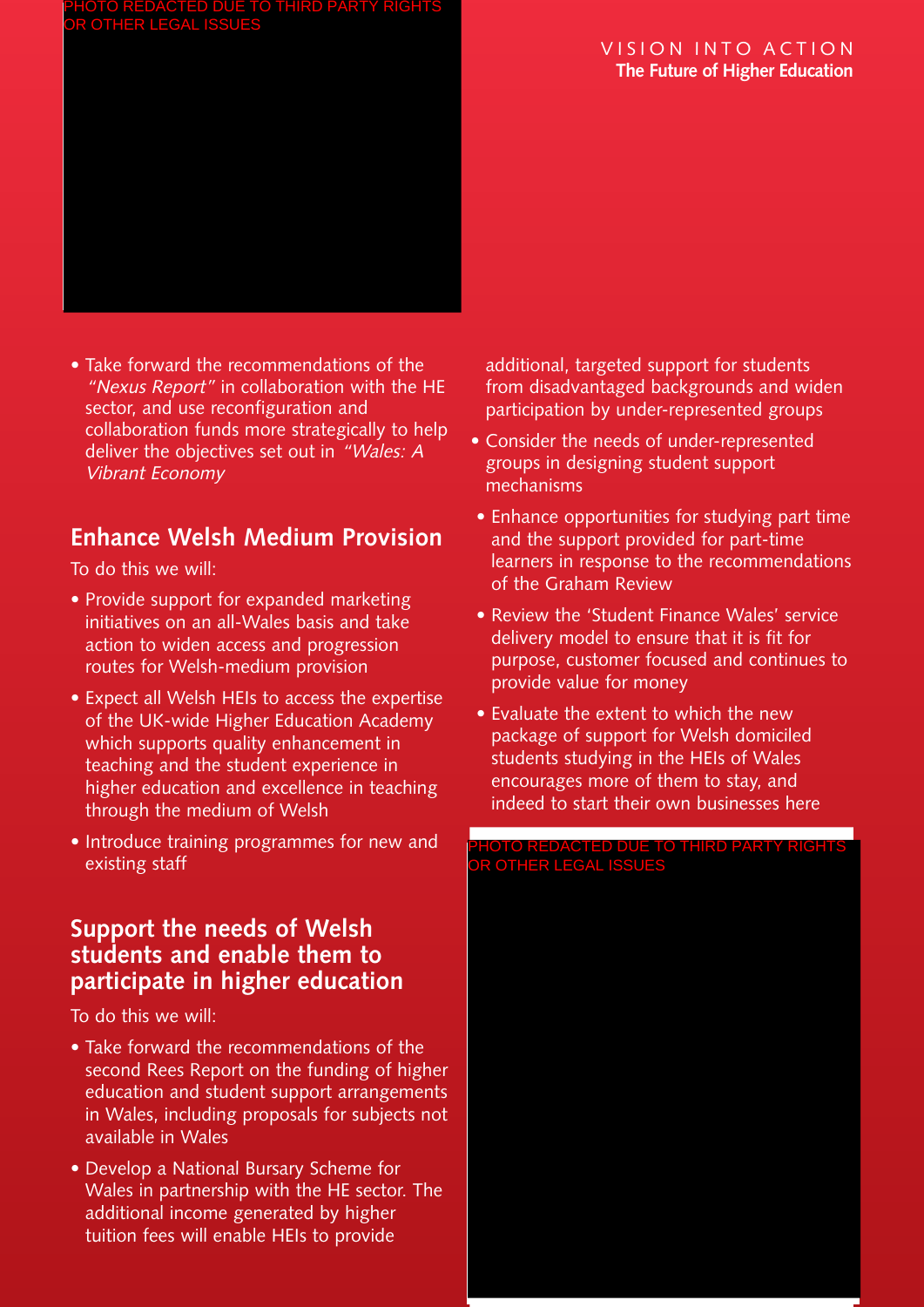#### VISION INTO ACTION **The Future of Higher Education**



• Take forward the recommendations of the "Nexus Report" in collaboration with the HE sector, and use reconfiguration and collaboration funds more strategically to help deliver the objectives set out in "Wales: A Vibrant Economy

# **Enhance Welsh Medium Provision**

To do this we will:

- Provide support for expanded marketing initiatives on an all-Wales basis and take action to widen access and progression routes for Welsh-medium provision
- Expect all Welsh HEIs to access the expertise of the UK-wide Higher Education Academy which supports quality enhancement in teaching and the student experience in higher education and excellence in teaching through the medium of Welsh
- Introduce training programmes for new and existing staff

# **Support the needs of Welsh students and enable them to participate in higher education**

To do this we will:

- Take forward the recommendations of the second Rees Report on the funding of higher education and student support arrangements in Wales, including proposals for subjects not available in Wales
- Develop a National Bursary Scheme for Wales in partnership with the HE sector. The additional income generated by higher tuition fees will enable HEIs to provide

additional, targeted support for students from disadvantaged backgrounds and widen participation by under-represented groups

- Consider the needs of under-represented groups in designing student support mechanisms
- Enhance opportunities for studying part time and the support provided for part-time learners in response to the recommendations of the Graham Review
- Review the 'Student Finance Wales' service delivery model to ensure that it is fit for purpose, customer focused and continues to provide value for money
- Evaluate the extent to which the new package of support for Welsh domiciled students studying in the HEIs of Wales encourages more of them to stay, and indeed to start their own businesses here

#### PHOTO REDACTED DUE TO THIRD PARTY RIGHTS OR OTHER LEGAL ISSUES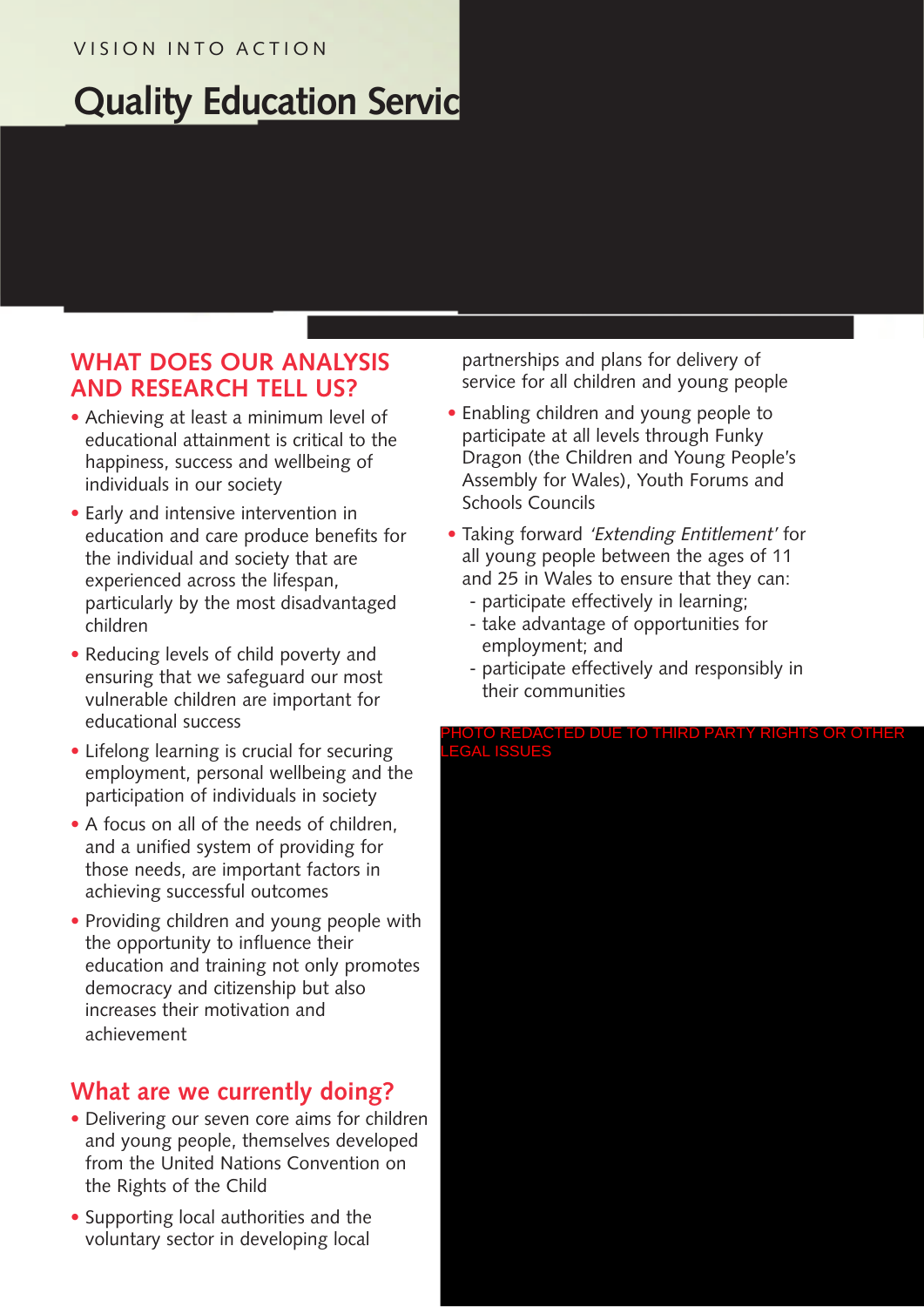## VISION INTO ACTION

# **Quality Education Servic**

# **WHAT DOES OUR ANALYSIS AND RESEARCH TELL US?**

- Achieving at least a minimum level of educational attainment is critical to the happiness, success and wellbeing of individuals in our society
- Early and intensive intervention in education and care produce benefits for the individual and society that are experienced across the lifespan, particularly by the most disadvantaged children
- Reducing levels of child poverty and ensuring that we safeguard our most vulnerable children are important for educational success
- Lifelong learning is crucial for securing employment, personal wellbeing and the participation of individuals in society
- A focus on all of the needs of children, and a unified system of providing for those needs, are important factors in achieving successful outcomes
- Providing children and young people with the opportunity to influence their education and training not only promotes democracy and citizenship but also increases their motivation and achievement

# **What are we currently doing?**

- Delivering our seven core aims for children and young people, themselves developed from the United Nations Convention on the Rights of the Child
- Supporting local authorities and the voluntary sector in developing local

partnerships and plans for delivery of service for all children and young people

- Enabling children and young people to participate at all levels through Funky Dragon (the Children and Young People's Assembly for Wales), Youth Forums and Schools Councils
- Taking forward 'Extending Entitlement' for all young people between the ages of 11 and 25 in Wales to ensure that they can:
	- participate effectively in learning;
	- take advantage of opportunities for employment; and
	- participate effectively and responsibly in their communities

#### PHOTO REDACTED DUE TO THIRD PARTY RIGHTS OR OTHER LEGAL ISSUES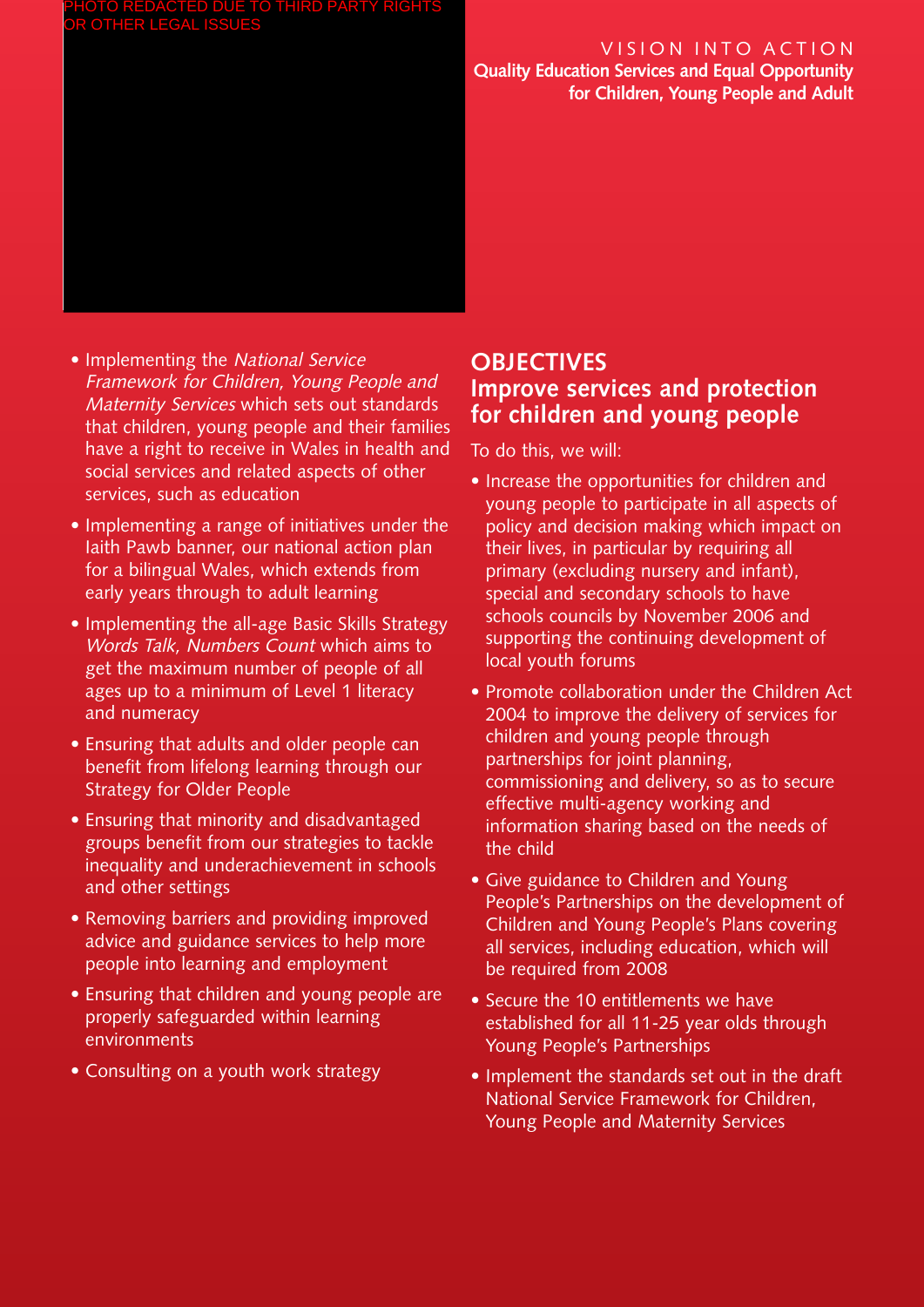## VISION INTO ACTION

**Quality Education Services and Equal Opportunity for Children, Young People and Adult**

- Implementing the National Service Framework for Children, Young People and Maternity Services which sets out standards that children, young people and their families have a right to receive in Wales in health and social services and related aspects of other services, such as education
- Implementing a range of initiatives under the Iaith Pawb banner, our national action plan for a bilingual Wales, which extends from early years through to adult learning
- Implementing the all-age Basic Skills Strategy Words Talk, Numbers Count which aims to get the maximum number of people of all ages up to a minimum of Level 1 literacy and numeracy
- Ensuring that adults and older people can benefit from lifelong learning through our Strategy for Older People
- Ensuring that minority and disadvantaged groups benefit from our strategies to tackle inequality and underachievement in schools and other settings
- Removing barriers and providing improved advice and guidance services to help more people into learning and employment
- Ensuring that children and young people are properly safeguarded within learning environments
- Consulting on a youth work strategy

# **OBJECTIVES Improve services and protection for children and young people**

- Increase the opportunities for children and young people to participate in all aspects of policy and decision making which impact on their lives, in particular by requiring all primary (excluding nursery and infant), special and secondary schools to have schools councils by November 2006 and supporting the continuing development of local youth forums
- Promote collaboration under the Children Act 2004 to improve the delivery of services for children and young people through partnerships for joint planning, commissioning and delivery, so as to secure effective multi-agency working and information sharing based on the needs of the child
- Give guidance to Children and Young People's Partnerships on the development of Children and Young People's Plans covering all services, including education, which will be required from 2008
- Secure the 10 entitlements we have established for all 11-25 year olds through Young People's Partnerships
- Implement the standards set out in the draft National Service Framework for Children, Young People and Maternity Services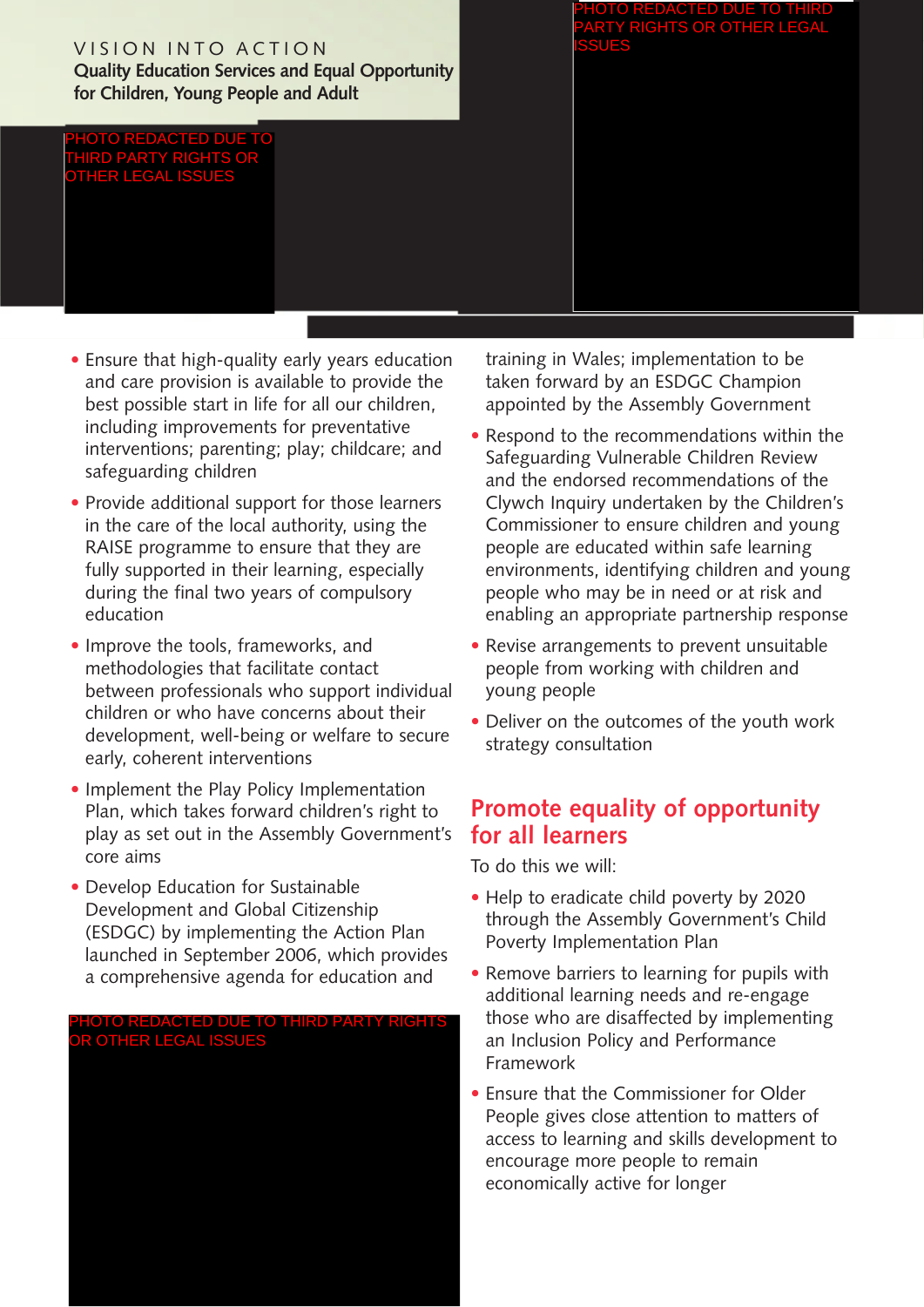## VISION INTO ACTION

**Quality Education Services and Equal Opportunity for Children, Young People and Adult**

#### PHOTO REDACTED DUE TO THIRD PARTY RIGHTS OR OTHER LEGAL ISSUES

REDACTED DUE PARTY RIGHTS OR OTHER LEGAL ISSUES

- Ensure that high-quality early years education and care provision is available to provide the best possible start in life for all our children, including improvements for preventative interventions; parenting; play; childcare; and safeguarding children
- Provide additional support for those learners in the care of the local authority, using the RAISE programme to ensure that they are fully supported in their learning, especially during the final two years of compulsory education
- Improve the tools, frameworks, and methodologies that facilitate contact between professionals who support individual children or who have concerns about their development, well-being or welfare to secure early, coherent interventions
- Implement the Play Policy Implementation Plan, which takes forward children's right to play as set out in the Assembly Government's core aims
- Develop Education for Sustainable Development and Global Citizenship (ESDGC) by implementing the Action Plan launched in September 2006, which provides a comprehensive agenda for education and

#### PHOTO REDACTED DUE TO THIRD PARTY RIGHTS OR OTHER LEGAL ISSUES

training in Wales; implementation to be taken forward by an ESDGC Champion appointed by the Assembly Government

- Respond to the recommendations within the Safeguarding Vulnerable Children Review and the endorsed recommendations of the Clywch Inquiry undertaken by the Children's Commissioner to ensure children and young people are educated within safe learning environments, identifying children and young people who may be in need or at risk and enabling an appropriate partnership response
- Revise arrangements to prevent unsuitable people from working with children and young people
- Deliver on the outcomes of the youth work strategy consultation

# **Promote equality of opportunity for all learners**

- Help to eradicate child poverty by 2020 through the Assembly Government's Child Poverty Implementation Plan
- Remove barriers to learning for pupils with additional learning needs and re-engage those who are disaffected by implementing an Inclusion Policy and Performance Framework
- Ensure that the Commissioner for Older People gives close attention to matters of access to learning and skills development to encourage more people to remain economically active for longer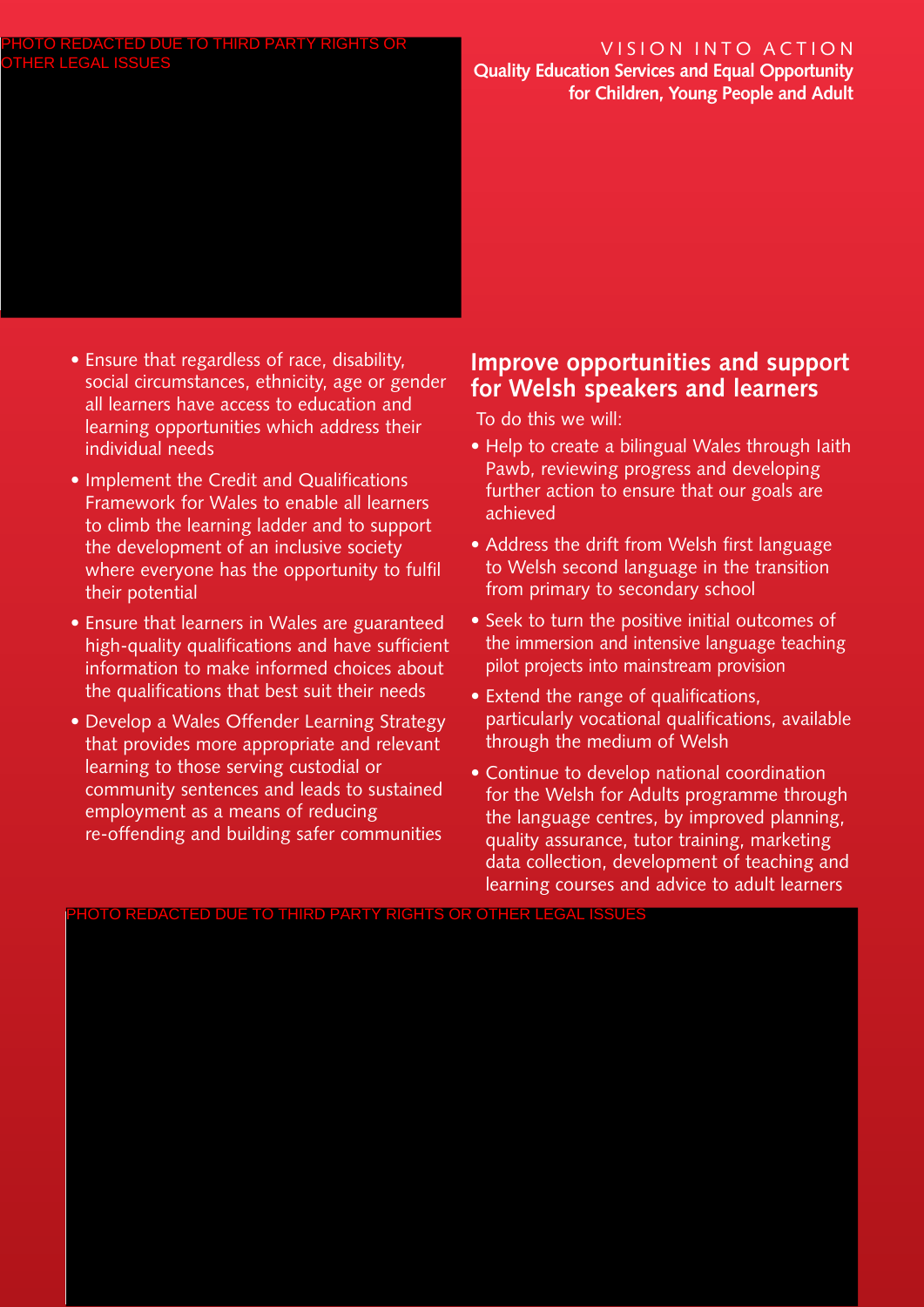#### VISION INTO ACTION **Quality Education Services and Equal Opportunity for Children, Young People and Adult**

- Ensure that regardless of race, disability, social circumstances, ethnicity, age or gender all learners have access to education and learning opportunities which address their individual needs
- Implement the Credit and Qualifications Framework for Wales to enable all learners to climb the learning ladder and to support the development of an inclusive society where everyone has the opportunity to fulfil their potential
- Ensure that learners in Wales are guaranteed high-quality qualifications and have sufficient information to make informed choices about the qualifications that best suit their needs
- Develop a Wales Offender Learning Strategy that provides more appropriate and relevant learning to those serving custodial or community sentences and leads to sustained employment as a means of reducing re-offending and building safer communities

# **Improve opportunities and support for Welsh speakers and learners**

To do this we will:

- Help to create a bilingual Wales through laith Pawb, reviewing progress and developing further action to ensure that our goals are achieved
- Address the drift from Welsh first language to Welsh second language in the transition from primary to secondary school
- Seek to turn the positive initial outcomes of the immersion and intensive language teaching pilot projects into mainstream provision
- Extend the range of qualifications, particularly vocational qualifications, available through the medium of Welsh
- Continue to develop national coordination for the Welsh for Adults programme through the language centres, by improved planning, quality assurance, tutor training, marketing data collection, development of teaching and learning courses and advice to adult learners

PHOTO REDACTED DUE TO THIRD PARTY RIGHTS OR OTHER LEGAL ISSUES